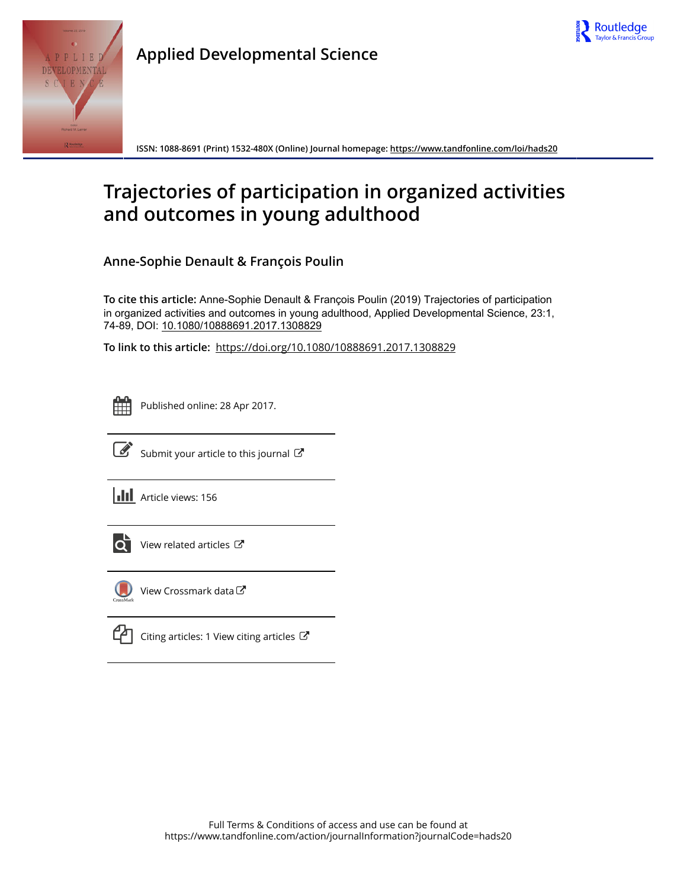



**Applied Developmental Science**

**ISSN: 1088-8691 (Print) 1532-480X (Online) Journal homepage: <https://www.tandfonline.com/loi/hads20>**

# **Trajectories of participation in organized activities and outcomes in young adulthood**

**Anne-Sophie Denault & François Poulin**

**To cite this article:** Anne-Sophie Denault & François Poulin (2019) Trajectories of participation in organized activities and outcomes in young adulthood, Applied Developmental Science, 23:1, 74-89, DOI: [10.1080/10888691.2017.1308829](https://www.tandfonline.com/action/showCitFormats?doi=10.1080/10888691.2017.1308829)

**To link to this article:** <https://doi.org/10.1080/10888691.2017.1308829>



Published online: 28 Apr 2017.



 $\overrightarrow{S}$  [Submit your article to this journal](https://www.tandfonline.com/action/authorSubmission?journalCode=hads20&show=instructions)  $\overrightarrow{S}$ 

**III** Article views: 156



[View related articles](https://www.tandfonline.com/doi/mlt/10.1080/10888691.2017.1308829) C



[View Crossmark data](http://crossmark.crossref.org/dialog/?doi=10.1080/10888691.2017.1308829&domain=pdf&date_stamp=2017-04-28)<sup>C</sup>

[Citing articles: 1 View citing articles](https://www.tandfonline.com/doi/citedby/10.1080/10888691.2017.1308829#tabModule)  $\mathbb{Z}$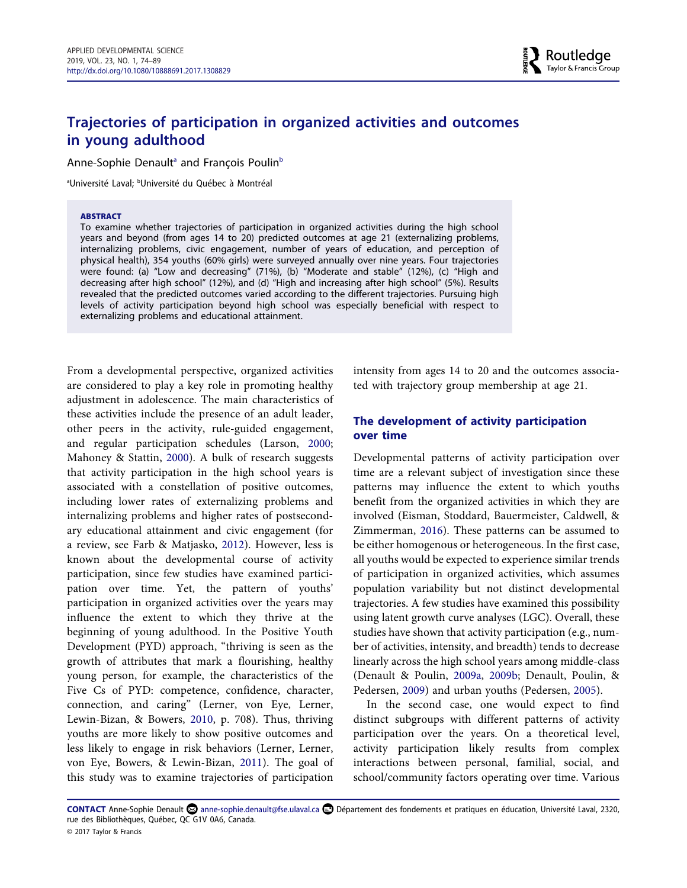# **Trajectories of participation in organized activities and outcomes in young adulthood**

Anne-Sophie Denault<sup>a</sup> and François Poulin<sup>b</sup>

<sup>a</sup>Université Laval; <sup>b</sup>Université du Québec à Montréal

#### **ABSTRACT**

To examine whether trajectories of participation in organized activities during the high school years and beyond (from ages 14 to 20) predicted outcomes at age 21 (externalizing problems, internalizing problems, civic engagement, number of years of education, and perception of physical health), 354 youths (60% girls) were surveyed annually over nine years. Four trajectories were found: (a) "Low and decreasing" (71%), (b) "Moderate and stable" (12%), (c) "High and decreasing after high school" (12%), and (d) "High and increasing after high school" (5%). Results revealed that the predicted outcomes varied according to the different trajectories. Pursuing high levels of activity participation beyond high school was especially beneficial with respect to externalizing problems and educational attainment.

From a developmental perspective, organized activities are considered to play a key role in promoting healthy adjustment in adolescence. The main characteristics of these activities include the presence of an adult leader, other peers in the activity, rule-guided engagement, and regular participation schedules (Larson, [2000;](#page-14-0) Mahoney & Stattin, [2000](#page-15-0)). A bulk of research suggests that activity participation in the high school years is associated with a constellation of positive outcomes, including lower rates of externalizing problems and internalizing problems and higher rates of postsecondary educational attainment and civic engagement (for a review, see Farb & Matjasko, [2012\)](#page-14-0). However, less is known about the developmental course of activity participation, since few studies have examined participation over time. Yet, the pattern of youths' participation in organized activities over the years may influence the extent to which they thrive at the beginning of young adulthood. In the Positive Youth Development (PYD) approach, "thriving is seen as the growth of attributes that mark a flourishing, healthy young person, for example, the characteristics of the Five Cs of PYD: competence, confidence, character, connection, and caring" (Lerner, von Eye, Lerner, Lewin-Bizan, & Bowers, [2010,](#page-15-0) p. 708). Thus, thriving youths are more likely to show positive outcomes and less likely to engage in risk behaviors (Lerner, Lerner, von Eye, Bowers, & Lewin-Bizan, [2011\)](#page-15-0). The goal of this study was to examine trajectories of participation intensity from ages 14 to 20 and the outcomes associated with trajectory group membership at age 21.

# **The development of activity participation over time**

Developmental patterns of activity participation over time are a relevant subject of investigation since these patterns may influence the extent to which youths benefit from the organized activities in which they are involved (Eisman, Stoddard, Bauermeister, Caldwell, & Zimmerman, [2016\)](#page-14-0). These patterns can be assumed to be either homogenous or heterogeneous. In the first case, all youths would be expected to experience similar trends of participation in organized activities, which assumes population variability but not distinct developmental trajectories. A few studies have examined this possibility using latent growth curve analyses (LGC). Overall, these studies have shown that activity participation (e.g., number of activities, intensity, and breadth) tends to decrease linearly across the high school years among middle-class (Denault & Poulin, [2009a](#page-14-0), [2009b;](#page-14-0) Denault, Poulin, & Pedersen, [2009\)](#page-14-0) and urban youths (Pedersen, [2005\)](#page-15-0).

In the second case, one would expect to find distinct subgroups with different patterns of activity participation over the years. On a theoretical level, activity participation likely results from complex interactions between personal, familial, social, and school/community factors operating over time. Various

CONTACT Anne-Sophie Denault **anne-sophie.denault@fse.ulaval.ca** Département des fondements et pratiques en éducation, Université Laval, 2320, rue des Bibliothèques, Québec, QC G1V 0A6, Canada. © 2017 Taylor & Francis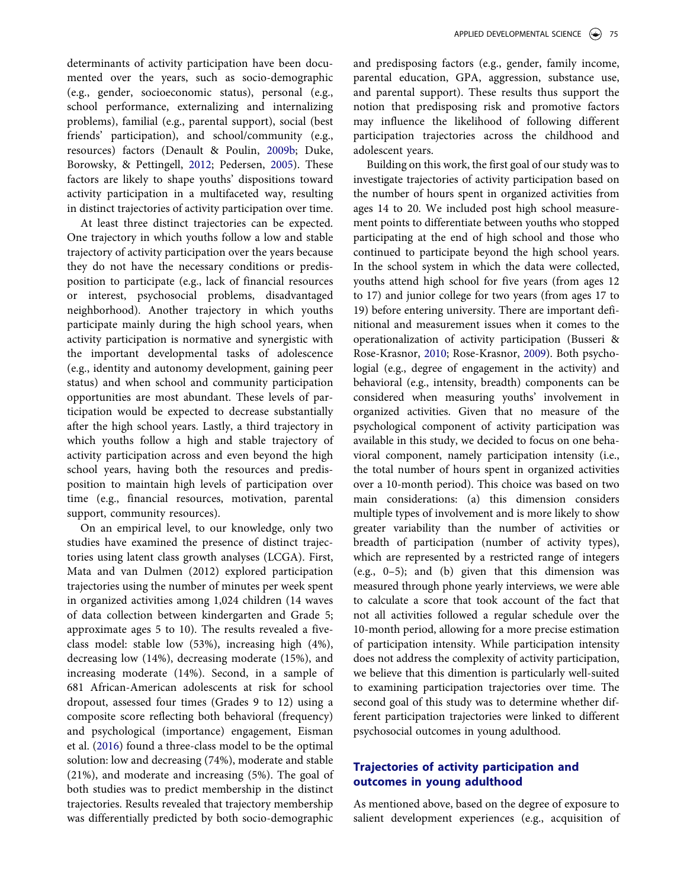determinants of activity participation have been documented over the years, such as socio-demographic (e.g., gender, socioeconomic status), personal (e.g., school performance, externalizing and internalizing problems), familial (e.g., parental support), social (best friends' participation), and school/community (e.g., resources) factors (Denault & Poulin, [2009b](#page-14-0); Duke, Borowsky, & Pettingell, [2012](#page-14-0); Pedersen, [2005](#page-15-0)). These factors are likely to shape youths' dispositions toward activity participation in a multifaceted way, resulting in distinct trajectories of activity participation over time.

At least three distinct trajectories can be expected. One trajectory in which youths follow a low and stable trajectory of activity participation over the years because they do not have the necessary conditions or predisposition to participate (e.g., lack of financial resources or interest, psychosocial problems, disadvantaged neighborhood). Another trajectory in which youths participate mainly during the high school years, when activity participation is normative and synergistic with the important developmental tasks of adolescence (e.g., identity and autonomy development, gaining peer status) and when school and community participation opportunities are most abundant. These levels of participation would be expected to decrease substantially after the high school years. Lastly, a third trajectory in which youths follow a high and stable trajectory of activity participation across and even beyond the high school years, having both the resources and predisposition to maintain high levels of participation over time (e.g., financial resources, motivation, parental support, community resources).

On an empirical level, to our knowledge, only two studies have examined the presence of distinct trajectories using latent class growth analyses (LCGA). First, Mata and van Dulmen (2012) explored participation trajectories using the number of minutes per week spent in organized activities among 1,024 children (14 waves of data collection between kindergarten and Grade 5; approximate ages 5 to 10). The results revealed a fiveclass model: stable low (53%), increasing high (4%), decreasing low (14%), decreasing moderate (15%), and increasing moderate (14%). Second, in a sample of 681 African-American adolescents at risk for school dropout, assessed four times (Grades 9 to 12) using a composite score reflecting both behavioral (frequency) and psychological (importance) engagement, Eisman et al. [\(2016](#page-14-0)) found a three-class model to be the optimal solution: low and decreasing (74%), moderate and stable (21%), and moderate and increasing (5%). The goal of both studies was to predict membership in the distinct trajectories. Results revealed that trajectory membership was differentially predicted by both socio-demographic and predisposing factors (e.g., gender, family income, parental education, GPA, aggression, substance use, and parental support). These results thus support the notion that predisposing risk and promotive factors may influence the likelihood of following different participation trajectories across the childhood and adolescent years.

Building on this work, the first goal of our study was to investigate trajectories of activity participation based on the number of hours spent in organized activities from ages 14 to 20. We included post high school measurement points to differentiate between youths who stopped participating at the end of high school and those who continued to participate beyond the high school years. In the school system in which the data were collected, youths attend high school for five years (from ages 12 to 17) and junior college for two years (from ages 17 to 19) before entering university. There are important definitional and measurement issues when it comes to the operationalization of activity participation (Busseri & Rose-Krasnor, [2010](#page-14-0); Rose-Krasnor, [2009\)](#page-15-0). Both psychologial (e.g., degree of engagement in the activity) and behavioral (e.g., intensity, breadth) components can be considered when measuring youths' involvement in organized activities. Given that no measure of the psychological component of activity participation was available in this study, we decided to focus on one behavioral component, namely participation intensity (i.e., the total number of hours spent in organized activities over a 10-month period). This choice was based on two main considerations: (a) this dimension considers multiple types of involvement and is more likely to show greater variability than the number of activities or breadth of participation (number of activity types), which are represented by a restricted range of integers (e.g., 0–5); and (b) given that this dimension was measured through phone yearly interviews, we were able to calculate a score that took account of the fact that not all activities followed a regular schedule over the 10-month period, allowing for a more precise estimation of participation intensity. While participation intensity does not address the complexity of activity participation, we believe that this dimention is particularly well-suited to examining participation trajectories over time. The second goal of this study was to determine whether different participation trajectories were linked to different psychosocial outcomes in young adulthood.

# **Trajectories of activity participation and outcomes in young adulthood**

As mentioned above, based on the degree of exposure to salient development experiences (e.g., acquisition of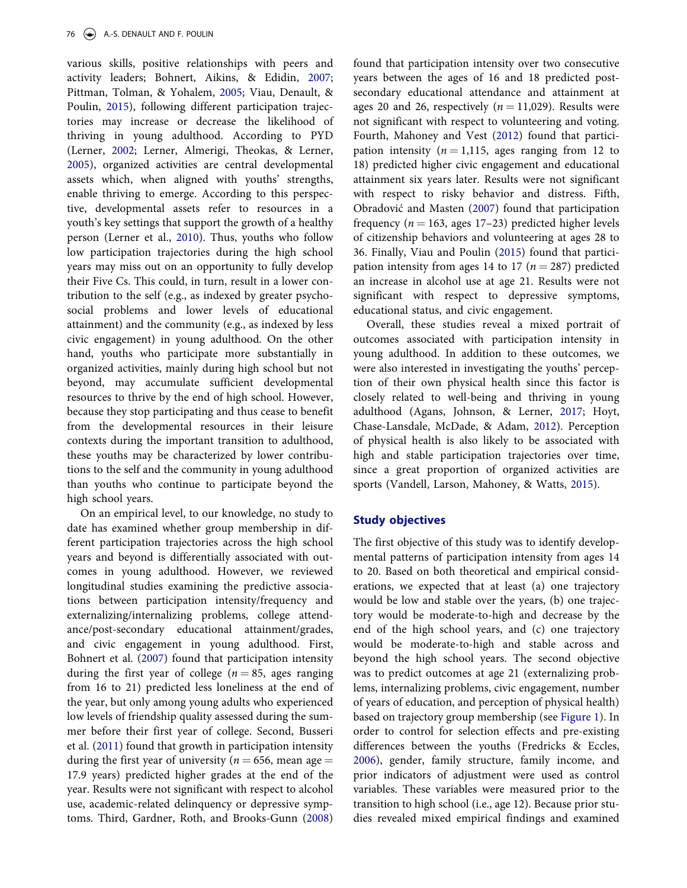various skills, positive relationships with peers and activity leaders; Bohnert, Aikins, & Edidin, [2007;](#page-14-0) Pittman, Tolman, & Yohalem, [2005;](#page-15-0) Viau, Denault, & Poulin, [2015\)](#page-16-0), following different participation trajectories may increase or decrease the likelihood of thriving in young adulthood. According to PYD (Lerner, [2002;](#page-15-0) Lerner, Almerigi, Theokas, & Lerner, [2005\)](#page-15-0), organized activities are central developmental assets which, when aligned with youths' strengths, enable thriving to emerge. According to this perspective, developmental assets refer to resources in a youth's key settings that support the growth of a healthy person (Lerner et al., [2010](#page-15-0)). Thus, youths who follow low participation trajectories during the high school years may miss out on an opportunity to fully develop their Five Cs. This could, in turn, result in a lower contribution to the self (e.g., as indexed by greater psychosocial problems and lower levels of educational attainment) and the community (e.g., as indexed by less civic engagement) in young adulthood. On the other hand, youths who participate more substantially in organized activities, mainly during high school but not beyond, may accumulate sufficient developmental resources to thrive by the end of high school. However, because they stop participating and thus cease to benefit from the developmental resources in their leisure contexts during the important transition to adulthood, these youths may be characterized by lower contributions to the self and the community in young adulthood than youths who continue to participate beyond the high school years.

On an empirical level, to our knowledge, no study to date has examined whether group membership in different participation trajectories across the high school years and beyond is differentially associated with outcomes in young adulthood. However, we reviewed longitudinal studies examining the predictive associations between participation intensity/frequency and externalizing/internalizing problems, college attendance/post-secondary educational attainment/grades, and civic engagement in young adulthood. First, Bohnert et al. [\(2007](#page-14-0)) found that participation intensity during the first year of college ( $n = 85$ , ages ranging from 16 to 21) predicted less loneliness at the end of the year, but only among young adults who experienced low levels of friendship quality assessed during the summer before their first year of college. Second, Busseri et al. [\(2011](#page-14-0)) found that growth in participation intensity during the first year of university ( $n = 656$ , mean age  $=$ 17.9 years) predicted higher grades at the end of the year. Results were not significant with respect to alcohol use, academic-related delinquency or depressive symptoms. Third, Gardner, Roth, and Brooks-Gunn [\(2008](#page-14-0))

found that participation intensity over two consecutive years between the ages of 16 and 18 predicted postsecondary educational attendance and attainment at ages 20 and 26, respectively  $(n = 11,029)$ . Results were not significant with respect to volunteering and voting. Fourth, Mahoney and Vest [\(2012\)](#page-15-0) found that participation intensity ( $n = 1,115$ , ages ranging from 12 to 18) predicted higher civic engagement and educational attainment six years later. Results were not significant with respect to risky behavior and distress. Fifth, Obradović and Masten [\(2007](#page-15-0)) found that participation frequency ( $n = 163$ , ages 17–23) predicted higher levels of citizenship behaviors and volunteering at ages 28 to 36. Finally, Viau and Poulin ([2015\)](#page-16-0) found that participation intensity from ages 14 to 17 ( $n = 287$ ) predicted an increase in alcohol use at age 21. Results were not significant with respect to depressive symptoms, educational status, and civic engagement.

Overall, these studies reveal a mixed portrait of outcomes associated with participation intensity in young adulthood. In addition to these outcomes, we were also interested in investigating the youths' perception of their own physical health since this factor is closely related to well-being and thriving in young adulthood (Agans, Johnson, & Lerner, [2017](#page-13-0); Hoyt, Chase-Lansdale, McDade, & Adam, [2012](#page-14-0)). Perception of physical health is also likely to be associated with high and stable participation trajectories over time, since a great proportion of organized activities are sports (Vandell, Larson, Mahoney, & Watts, [2015\)](#page-16-0).

# **Study objectives**

The first objective of this study was to identify developmental patterns of participation intensity from ages 14 to 20. Based on both theoretical and empirical considerations, we expected that at least (a) one trajectory would be low and stable over the years, (b) one trajectory would be moderate-to-high and decrease by the end of the high school years, and (c) one trajectory would be moderate-to-high and stable across and beyond the high school years. The second objective was to predict outcomes at age 21 (externalizing problems, internalizing problems, civic engagement, number of years of education, and perception of physical health) based on trajectory group membership (see [Figure 1](#page-4-0)). In order to control for selection effects and pre-existing differences between the youths (Fredricks & Eccles, [2006](#page-14-0)), gender, family structure, family income, and prior indicators of adjustment were used as control variables. These variables were measured prior to the transition to high school (i.e., age 12). Because prior studies revealed mixed empirical findings and examined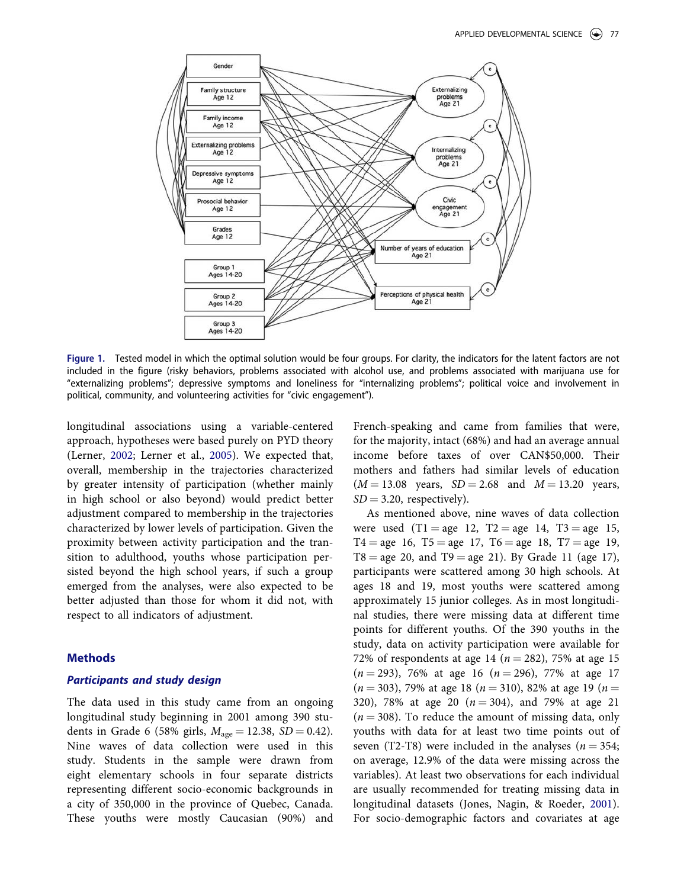<span id="page-4-0"></span>

**Figure 1.** Tested model in which the optimal solution would be four groups. For clarity, the indicators for the latent factors are not included in the figure (risky behaviors, problems associated with alcohol use, and problems associated with marijuana use for "externalizing problems"; depressive symptoms and loneliness for "internalizing problems"; political voice and involvement in political, community, and volunteering activities for "civic engagement").

longitudinal associations using a variable-centered approach, hypotheses were based purely on PYD theory (Lerner, [2002](#page-15-0); Lerner et al., [2005\)](#page-15-0). We expected that, overall, membership in the trajectories characterized by greater intensity of participation (whether mainly in high school or also beyond) would predict better adjustment compared to membership in the trajectories characterized by lower levels of participation. Given the proximity between activity participation and the transition to adulthood, youths whose participation persisted beyond the high school years, if such a group emerged from the analyses, were also expected to be better adjusted than those for whom it did not, with respect to all indicators of adjustment.

# **Methods**

#### *Participants and study design*

The data used in this study came from an ongoing longitudinal study beginning in 2001 among 390 students in Grade 6 (58% girls,  $M_{\text{age}} = 12.38$ , *SD* = 0.42). Nine waves of data collection were used in this study. Students in the sample were drawn from eight elementary schools in four separate districts representing different socio-economic backgrounds in a city of 350,000 in the province of Quebec, Canada. These youths were mostly Caucasian (90%) and

French-speaking and came from families that were, for the majority, intact (68%) and had an average annual income before taxes of over CAN\$50,000. Their mothers and fathers had similar levels of education  $(M = 13.08$  years,  $SD = 2.68$  and  $M = 13.20$  years,  $SD = 3.20$ , respectively).

As mentioned above, nine waves of data collection were used  $(T1 = age \ 12, T2 = age \ 14, T3 = age \ 15,$  $T4 = age \ 16, T5 = age \ 17, T6 = age \ 18, T7 = age \ 19,$  $T8 = age \, 20$ , and  $T9 = age \, 21$ ). By Grade 11 (age 17), participants were scattered among 30 high schools. At ages 18 and 19, most youths were scattered among approximately 15 junior colleges. As in most longitudinal studies, there were missing data at different time points for different youths. Of the 390 youths in the study, data on activity participation were available for 72% of respondents at age 14 ( $n = 282$ ), 75% at age 15  $(n = 293)$ , 76% at age 16  $(n = 296)$ , 77% at age 17  $(n = 303)$ , 79% at age 18 ( $n = 310$ ), 82% at age 19 ( $n =$ 320), 78% at age 20  $(n = 304)$ , and 79% at age 21  $(n = 308)$ . To reduce the amount of missing data, only youths with data for at least two time points out of seven (T2-T8) were included in the analyses ( $n = 354$ ; on average, 12.9% of the data were missing across the variables). At least two observations for each individual are usually recommended for treating missing data in longitudinal datasets (Jones, Nagin, & Roeder, [2001](#page-14-0)). For socio-demographic factors and covariates at age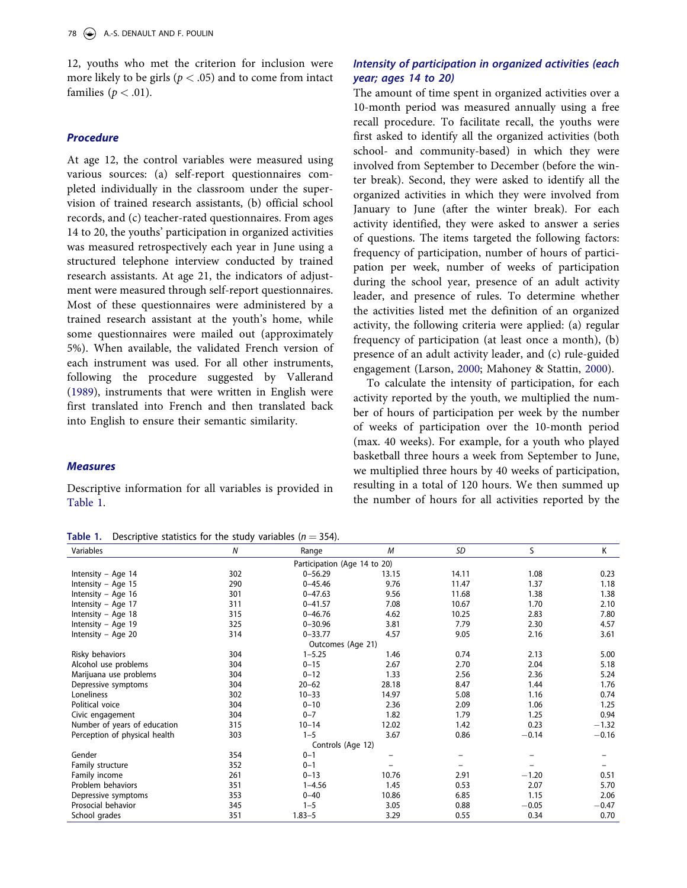12, youths who met the criterion for inclusion were more likely to be girls (*p <* .05) and to come from intact families ( $p < .01$ ).

# *Procedure*

At age 12, the control variables were measured using various sources: (a) self-report questionnaires completed individually in the classroom under the supervision of trained research assistants, (b) official school records, and (c) teacher-rated questionnaires. From ages 14 to 20, the youths' participation in organized activities was measured retrospectively each year in June using a structured telephone interview conducted by trained research assistants. At age 21, the indicators of adjustment were measured through self-report questionnaires. Most of these questionnaires were administered by a trained research assistant at the youth's home, while some questionnaires were mailed out (approximately 5%). When available, the validated French version of each instrument was used. For all other instruments, following the procedure suggested by Vallerand [\(1989](#page-16-0)), instruments that were written in English were first translated into French and then translated back into English to ensure their semantic similarity.

# *Measures*

Descriptive information for all variables is provided in Table 1.

**Table 1.** Descriptive statistics for the study variables (*n* ¼ 354).

# *Intensity of participation in organized activities (each year; ages 14 to 20)*

The amount of time spent in organized activities over a 10-month period was measured annually using a free recall procedure. To facilitate recall, the youths were first asked to identify all the organized activities (both school- and community-based) in which they were involved from September to December (before the winter break). Second, they were asked to identify all the organized activities in which they were involved from January to June (after the winter break). For each activity identified, they were asked to answer a series of questions. The items targeted the following factors: frequency of participation, number of hours of participation per week, number of weeks of participation during the school year, presence of an adult activity leader, and presence of rules. To determine whether the activities listed met the definition of an organized activity, the following criteria were applied: (a) regular frequency of participation (at least once a month), (b) presence of an adult activity leader, and (c) rule-guided engagement (Larson, [2000;](#page-14-0) Mahoney & Stattin, [2000\)](#page-15-0).

To calculate the intensity of participation, for each activity reported by the youth, we multiplied the number of hours of participation per week by the number of weeks of participation over the 10-month period (max. 40 weeks). For example, for a youth who played basketball three hours a week from September to June, we multiplied three hours by 40 weeks of participation, resulting in a total of 120 hours. We then summed up the number of hours for all activities reported by the

| Variables                     | N   | Range             | M     | SD    | S       | Κ       |  |  |  |
|-------------------------------|-----|-------------------|-------|-------|---------|---------|--|--|--|
| Participation (Age 14 to 20)  |     |                   |       |       |         |         |  |  |  |
| Intensity - Age 14            | 302 | $0 - 56.29$       | 13.15 | 14.11 | 1.08    | 0.23    |  |  |  |
| Intensity - Age 15            | 290 | $0 - 45.46$       | 9.76  | 11.47 | 1.37    | 1.18    |  |  |  |
| Intensity – Age 16            | 301 | $0 - 47.63$       | 9.56  | 11.68 | 1.38    | 1.38    |  |  |  |
| Intensity - Age 17            | 311 | $0 - 41.57$       | 7.08  | 10.67 | 1.70    | 2.10    |  |  |  |
| Intensity - Age 18            | 315 | $0 - 46.76$       | 4.62  | 10.25 | 2.83    | 7.80    |  |  |  |
| Intensity – Age 19            | 325 | $0 - 30.96$       | 3.81  | 7.79  | 2.30    | 4.57    |  |  |  |
| Intensity - Age 20            | 314 | $0 - 33.77$       | 4.57  | 9.05  | 2.16    | 3.61    |  |  |  |
| Outcomes (Age 21)             |     |                   |       |       |         |         |  |  |  |
| Risky behaviors               | 304 | $1 - 5.25$        | 1.46  | 0.74  | 2.13    | 5.00    |  |  |  |
| Alcohol use problems          | 304 | $0 - 15$          | 2.67  | 2.70  | 2.04    | 5.18    |  |  |  |
| Marijuana use problems        | 304 | $0 - 12$          | 1.33  | 2.56  | 2.36    | 5.24    |  |  |  |
| Depressive symptoms           | 304 | $20 - 62$         | 28.18 | 8.47  | 1.44    | 1.76    |  |  |  |
| Loneliness                    | 302 | $10 - 33$         | 14.97 | 5.08  | 1.16    | 0.74    |  |  |  |
| Political voice               | 304 | $0 - 10$          | 2.36  | 2.09  | 1.06    | 1.25    |  |  |  |
| Civic engagement              | 304 | $0 - 7$           | 1.82  | 1.79  | 1.25    | 0.94    |  |  |  |
| Number of years of education  | 315 | $10 - 14$         | 12.02 | 1.42  | 0.23    | $-1.32$ |  |  |  |
| Perception of physical health | 303 | $1 - 5$           | 3.67  | 0.86  | $-0.14$ | $-0.16$ |  |  |  |
|                               |     | Controls (Age 12) |       |       |         |         |  |  |  |
| Gender                        | 354 | $0 - 1$           |       |       |         |         |  |  |  |
| Family structure              | 352 | $0 - 1$           |       |       |         |         |  |  |  |
| Family income                 | 261 | $0 - 13$          | 10.76 | 2.91  | $-1.20$ | 0.51    |  |  |  |
| Problem behaviors             | 351 | $1 - 4.56$        | 1.45  | 0.53  | 2.07    | 5.70    |  |  |  |
| Depressive symptoms           | 353 | $0 - 40$          | 10.86 | 6.85  | 1.15    | 2.06    |  |  |  |
| Prosocial behavior            | 345 | $1 - 5$           | 3.05  | 0.88  | $-0.05$ | $-0.47$ |  |  |  |
| School grades                 | 351 | $1.83 - 5$        | 3.29  | 0.55  | 0.34    | 0.70    |  |  |  |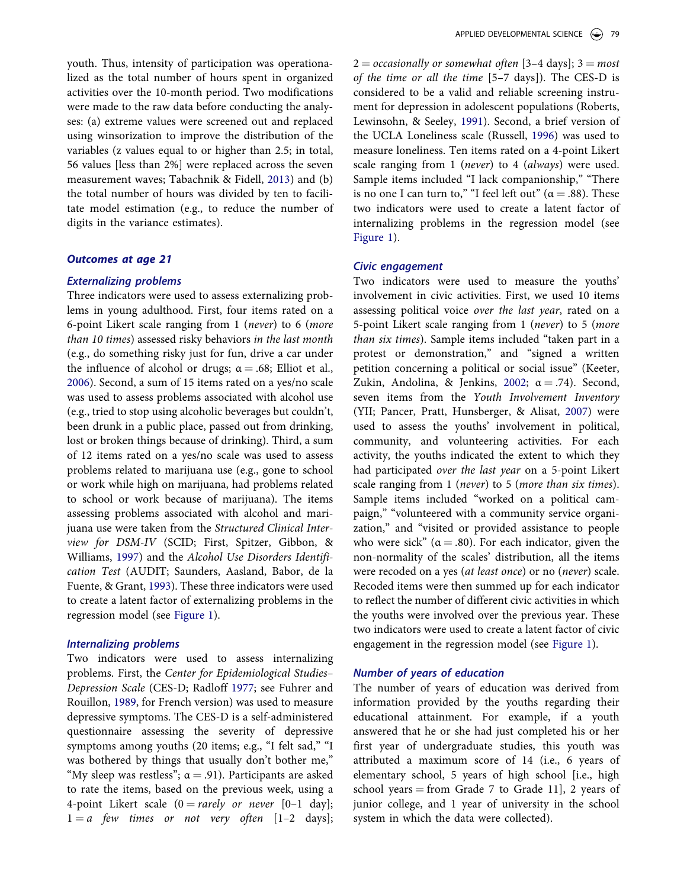youth. Thus, intensity of participation was operationalized as the total number of hours spent in organized activities over the 10-month period. Two modifications were made to the raw data before conducting the analyses: (a) extreme values were screened out and replaced using winsorization to improve the distribution of the variables (z values equal to or higher than 2.5; in total, 56 values [less than 2%] were replaced across the seven measurement waves; Tabachnik & Fidell, [2013\)](#page-15-0) and (b) the total number of hours was divided by ten to facilitate model estimation (e.g., to reduce the number of digits in the variance estimates).

# *Outcomes at age 21*

#### *Externalizing problems*

Three indicators were used to assess externalizing problems in young adulthood. First, four items rated on a 6-point Likert scale ranging from 1 (*never*) to 6 (*more than 10 times*) assessed risky behaviors *in the last month*  (e.g., do something risky just for fun, drive a car under the influence of alcohol or drugs;  $\alpha = .68$ ; Elliot et al., [2006\)](#page-14-0). Second, a sum of 15 items rated on a yes/no scale was used to assess problems associated with alcohol use (e.g., tried to stop using alcoholic beverages but couldn't, been drunk in a public place, passed out from drinking, lost or broken things because of drinking). Third, a sum of 12 items rated on a yes/no scale was used to assess problems related to marijuana use (e.g., gone to school or work while high on marijuana, had problems related to school or work because of marijuana). The items assessing problems associated with alcohol and marijuana use were taken from the *Structured Clinical Interview for DSM-IV* (SCID; First, Spitzer, Gibbon, & Williams, [1997\)](#page-14-0) and the *Alcohol Use Disorders Identification Test* (AUDIT; Saunders, Aasland, Babor, de la Fuente, & Grant, [1993](#page-15-0)). These three indicators were used to create a latent factor of externalizing problems in the regression model (see [Figure 1](#page-4-0)).

#### *Internalizing problems*

Two indicators were used to assess internalizing problems. First, the *Center for Epidemiological Studies– Depression Scale* (CES-D; Radloff [1977](#page-15-0); see Fuhrer and Rouillon, [1989](#page-14-0), for French version) was used to measure depressive symptoms. The CES-D is a self-administered questionnaire assessing the severity of depressive symptoms among youths (20 items; e.g., "I felt sad," "I was bothered by things that usually don't bother me," "My sleep was restless";  $\alpha = .91$ ). Participants are asked to rate the items, based on the previous week, using a 4-point Likert scale  $(0 = rarely \ or \ never \ [0-1 \ day];$  $1 = a$  *few times or not very often*  $[1-2 \text{ days}];$ 

 $2 =$  *occasionally or somewhat often* [3–4 days];  $3 =$  *most of the time or all the time* [5–7 days]). The CES-D is considered to be a valid and reliable screening instrument for depression in adolescent populations (Roberts, Lewinsohn, & Seeley, [1991\)](#page-15-0). Second, a brief version of the UCLA Loneliness scale (Russell, [1996](#page-15-0)) was used to measure loneliness. Ten items rated on a 4-point Likert scale ranging from 1 (*never*) to 4 (*always*) were used. Sample items included "I lack companionship," "There is no one I can turn to," "I feel left out" ( $\alpha = .88$ ). These two indicators were used to create a latent factor of internalizing problems in the regression model (see [Figure 1\)](#page-4-0).

# *Civic engagement*

Two indicators were used to measure the youths' involvement in civic activities. First, we used 10 items assessing political voice *over the last year*, rated on a 5-point Likert scale ranging from 1 (*never*) to 5 (*more than six times*). Sample items included "taken part in a protest or demonstration," and "signed a written petition concerning a political or social issue" (Keeter, Zukin, Andolina, & Jenkins, [2002](#page-14-0);  $\alpha = .74$ ). Second, seven items from the *Youth Involvement Inventory*  (YII; Pancer, Pratt, Hunsberger, & Alisat, [2007\)](#page-15-0) were used to assess the youths' involvement in political, community, and volunteering activities. For each activity, the youths indicated the extent to which they had participated *over the last year* on a 5-point Likert scale ranging from 1 (*never*) to 5 (*more than six times*). Sample items included "worked on a political campaign," "volunteered with a community service organization," and "visited or provided assistance to people who were sick" ( $\alpha = .80$ ). For each indicator, given the non-normality of the scales' distribution, all the items were recoded on a yes (*at least once*) or no (*never*) scale. Recoded items were then summed up for each indicator to reflect the number of different civic activities in which the youths were involved over the previous year. These two indicators were used to create a latent factor of civic engagement in the regression model (see [Figure 1\)](#page-4-0).

# *Number of years of education*

The number of years of education was derived from information provided by the youths regarding their educational attainment. For example, if a youth answered that he or she had just completed his or her first year of undergraduate studies, this youth was attributed a maximum score of 14 (i.e., 6 years of elementary school, 5 years of high school [i.e., high school years  $=$  from Grade 7 to Grade 11], 2 years of junior college, and 1 year of university in the school system in which the data were collected).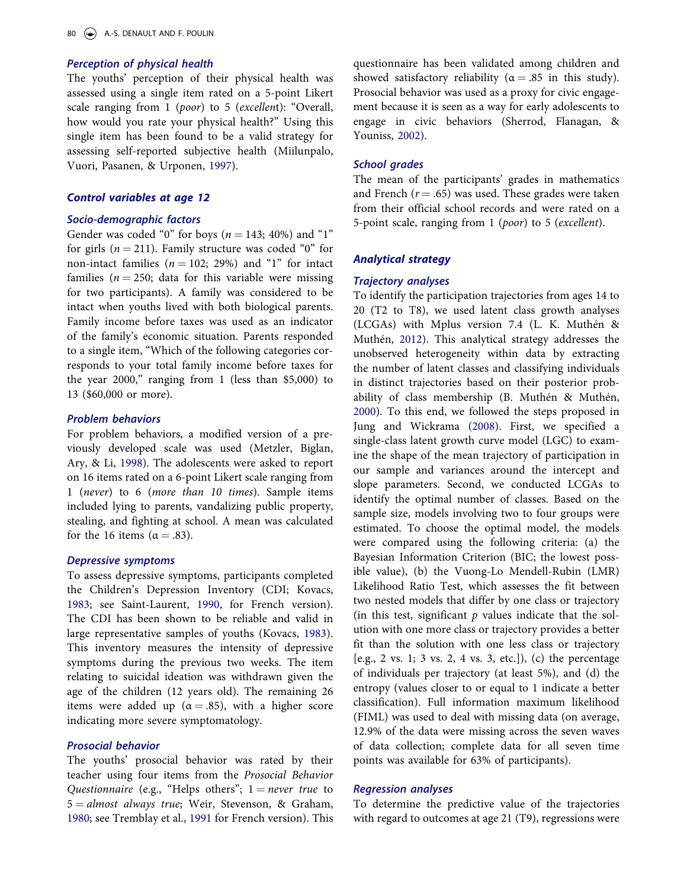# *Perception of physical health*

The youths' perception of their physical health was assessed using a single item rated on a 5-point Likert scale ranging from 1 (*poor*) to 5 (*excellen*t): "Overall, how would you rate your physical health?" Using this single item has been found to be a valid strategy for assessing self-reported subjective health (Miilunpalo, Vuori, Pasanen, & Urponen, [1997](#page-15-0)).

#### *Control variables at age 12*

#### *Socio-demographic factors*

Gender was coded "0" for boys ( $n = 143$ ; 40%) and "1" for girls ( $n = 211$ ). Family structure was coded "0" for non-intact families  $(n = 102; 29%)$  and "1" for intact families ( $n = 250$ ; data for this variable were missing for two participants). A family was considered to be intact when youths lived with both biological parents. Family income before taxes was used as an indicator of the family's economic situation. Parents responded to a single item, "Which of the following categories corresponds to your total family income before taxes for the year 2000," ranging from 1 (less than \$5,000) to 13 (\$60,000 or more).

# *Problem behaviors*

For problem behaviors, a modified version of a previously developed scale was used (Metzler, Biglan, Ary, & Li, [1998](#page-15-0)). The adolescents were asked to report on 16 items rated on a 6-point Likert scale ranging from 1 (*never*) to 6 (*more than 10 times*). Sample items included lying to parents, vandalizing public property, stealing, and fighting at school. A mean was calculated for the 16 items ( $\alpha = .83$ ).

# *Depressive symptoms*

To assess depressive symptoms, participants completed the Children's Depression Inventory (CDI; Kovacs, [1983;](#page-14-0) see Saint-Laurent, [1990,](#page-15-0) for French version). The CDI has been shown to be reliable and valid in large representative samples of youths (Kovacs, [1983](#page-14-0)). This inventory measures the intensity of depressive symptoms during the previous two weeks. The item relating to suicidal ideation was withdrawn given the age of the children (12 years old). The remaining 26 items were added up ( $\alpha = .85$ ), with a higher score indicating more severe symptomatology.

# *Prosocial behavior*

The youths' prosocial behavior was rated by their teacher using four items from the *Prosocial Behavior Questionnaire* (e.g., "Helps others";  $1 = never$  *true* to 5 ¼ *almost always true*; Weir, Stevenson, & Graham, [1980;](#page-16-0) see Tremblay et al., [1991](#page-15-0) for French version). This questionnaire has been validated among children and showed satisfactory reliability ( $\alpha = .85$  in this study). Prosocial behavior was used as a proxy for civic engagement because it is seen as a way for early adolescents to engage in civic behaviors (Sherrod, Flanagan, & Youniss, [2002\)](#page-15-0).

#### *School grades*

The mean of the participants' grades in mathematics and French  $(r = .65)$  was used. These grades were taken from their official school records and were rated on a 5-point scale, ranging from 1 (*poor*) to 5 (*excellent*).

#### *Analytical strategy*

#### *Trajectory analyses*

To identify the participation trajectories from ages 14 to 20 (T2 to T8), we used latent class growth analyses (LCGAs) with Mplus version 7.4 (L. K. Muthén & Muthén, [2012](#page-15-0)). This analytical strategy addresses the unobserved heterogeneity within data by extracting the number of latent classes and classifying individuals in distinct trajectories based on their posterior probability of class membership (B. Muthén & Muthén, [2000](#page-15-0)). To this end, we followed the steps proposed in Jung and Wickrama [\(2008](#page-14-0)). First, we specified a single-class latent growth curve model (LGC) to examine the shape of the mean trajectory of participation in our sample and variances around the intercept and slope parameters. Second, we conducted LCGAs to identify the optimal number of classes. Based on the sample size, models involving two to four groups were estimated. To choose the optimal model, the models were compared using the following criteria: (a) the Bayesian Information Criterion (BIC; the lowest possible value), (b) the Vuong-Lo Mendell-Rubin (LMR) Likelihood Ratio Test, which assesses the fit between two nested models that differ by one class or trajectory (in this test, significant *p* values indicate that the solution with one more class or trajectory provides a better fit than the solution with one less class or trajectory [e.g., 2 vs. 1; 3 vs. 2, 4 vs. 3, etc.]), (c) the percentage of individuals per trajectory (at least 5%), and (d) the entropy (values closer to or equal to 1 indicate a better classification). Full information maximum likelihood (FIML) was used to deal with missing data (on average, 12.9% of the data were missing across the seven waves of data collection; complete data for all seven time points was available for 63% of participants).

# *Regression analyses*

To determine the predictive value of the trajectories with regard to outcomes at age 21 (T9), regressions were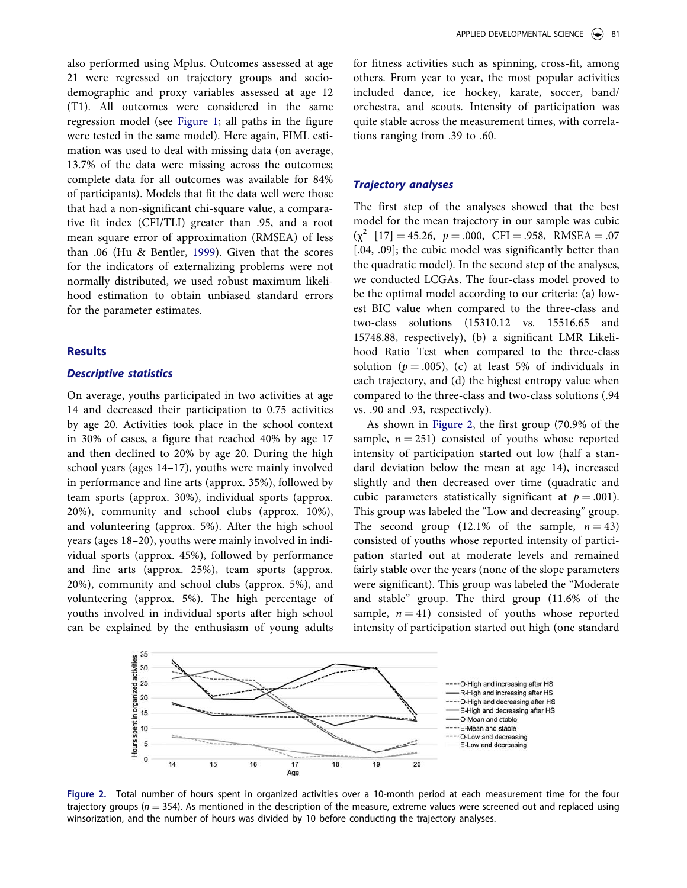<span id="page-8-0"></span>also performed using Mplus. Outcomes assessed at age 21 were regressed on trajectory groups and sociodemographic and proxy variables assessed at age 12 (T1). All outcomes were considered in the same regression model (see [Figure 1;](#page-4-0) all paths in the figure were tested in the same model). Here again, FIML estimation was used to deal with missing data (on average, 13.7% of the data were missing across the outcomes; complete data for all outcomes was available for 84% of participants). Models that fit the data well were those that had a non-significant chi-square value, a comparative fit index (CFI/TLI) greater than .95, and a root mean square error of approximation (RMSEA) of less than .06 (Hu & Bentler, [1999\)](#page-14-0). Given that the scores for the indicators of externalizing problems were not normally distributed, we used robust maximum likelihood estimation to obtain unbiased standard errors for the parameter estimates.

# **Results**

## *Descriptive statistics*

On average, youths participated in two activities at age 14 and decreased their participation to 0.75 activities by age 20. Activities took place in the school context in 30% of cases, a figure that reached 40% by age 17 and then declined to 20% by age 20. During the high school years (ages 14–17), youths were mainly involved in performance and fine arts (approx. 35%), followed by team sports (approx. 30%), individual sports (approx. 20%), community and school clubs (approx. 10%), and volunteering (approx. 5%). After the high school years (ages 18–20), youths were mainly involved in individual sports (approx. 45%), followed by performance and fine arts (approx. 25%), team sports (approx. 20%), community and school clubs (approx. 5%), and volunteering (approx. 5%). The high percentage of youths involved in individual sports after high school can be explained by the enthusiasm of young adults

for fitness activities such as spinning, cross-fit, among others. From year to year, the most popular activities included dance, ice hockey, karate, soccer, band/ orchestra, and scouts. Intensity of participation was quite stable across the measurement times, with correlations ranging from .39 to .60.

# *Trajectory analyses*

The first step of the analyses showed that the best model for the mean trajectory in our sample was cubic  $(\chi^2 \mid 17] = 45.26$ ,  $p = .000$ , CFI = .958, RMSEA = .07 [.04, .09]; the cubic model was significantly better than the quadratic model). In the second step of the analyses, we conducted LCGAs. The four-class model proved to be the optimal model according to our criteria: (a) lowest BIC value when compared to the three-class and two-class solutions (15310.12 vs. 15516.65 and 15748.88, respectively), (b) a significant LMR Likelihood Ratio Test when compared to the three-class solution ( $p = .005$ ), (c) at least 5% of individuals in each trajectory, and (d) the highest entropy value when compared to the three-class and two-class solutions (.94 vs. .90 and .93, respectively).

As shown in Figure 2, the first group (70.9% of the sample,  $n = 251$ ) consisted of youths whose reported intensity of participation started out low (half a standard deviation below the mean at age 14), increased slightly and then decreased over time (quadratic and cubic parameters statistically significant at  $p = .001$ ). This group was labeled the "Low and decreasing" group. The second group  $(12.1\% \text{ of the sample}, n = 43)$ consisted of youths whose reported intensity of participation started out at moderate levels and remained fairly stable over the years (none of the slope parameters were significant). This group was labeled the "Moderate and stable" group. The third group (11.6% of the sample,  $n = 41$ ) consisted of youths whose reported intensity of participation started out high (one standard



**Figure 2.** Total number of hours spent in organized activities over a 10-month period at each measurement time for the four trajectory groups ( $n = 354$ ). As mentioned in the description of the measure, extreme values were screened out and replaced using winsorization, and the number of hours was divided by 10 before conducting the trajectory analyses.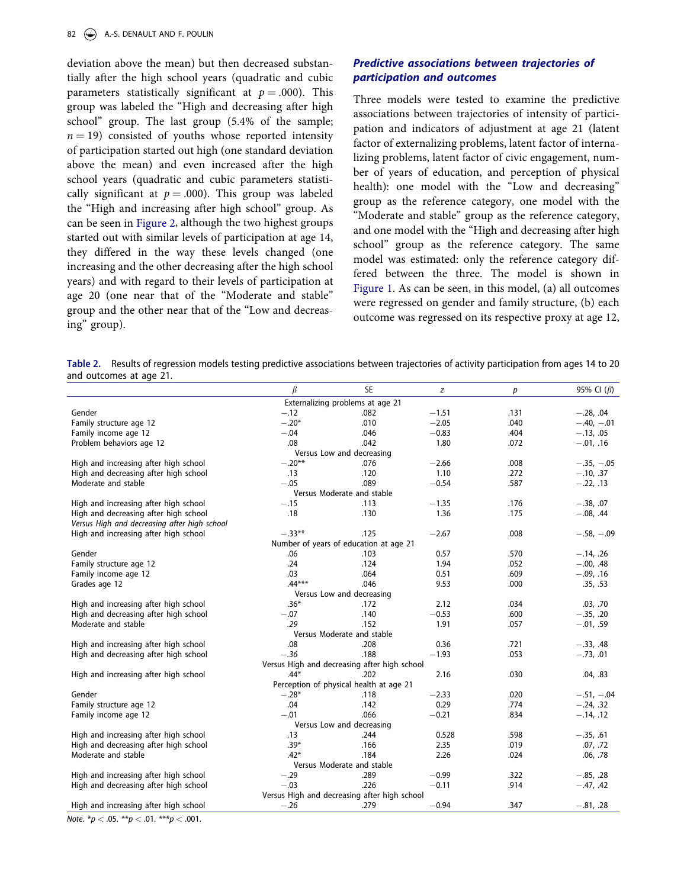<span id="page-9-0"></span>deviation above the mean) but then decreased substantially after the high school years (quadratic and cubic parameters statistically significant at  $p = .000$ ). This group was labeled the "High and decreasing after high school" group. The last group (5.4% of the sample;  $n = 19$ ) consisted of youths whose reported intensity of participation started out high (one standard deviation above the mean) and even increased after the high school years (quadratic and cubic parameters statistically significant at  $p = .000$ ). This group was labeled the "High and increasing after high school" group. As can be seen in [Figure 2](#page-8-0), although the two highest groups started out with similar levels of participation at age 14, they differed in the way these levels changed (one increasing and the other decreasing after the high school years) and with regard to their levels of participation at age 20 (one near that of the "Moderate and stable" group and the other near that of the "Low and decreasing" group).

# *Predictive associations between trajectories of participation and outcomes*

Three models were tested to examine the predictive associations between trajectories of intensity of participation and indicators of adjustment at age 21 (latent factor of externalizing problems, latent factor of internalizing problems, latent factor of civic engagement, number of years of education, and perception of physical health): one model with the "Low and decreasing" group as the reference category, one model with the "Moderate and stable" group as the reference category, and one model with the "High and decreasing after high school" group as the reference category. The same model was estimated: only the reference category differed between the three. The model is shown in [Figure 1.](#page-4-0) As can be seen, in this model, (a) all outcomes were regressed on gender and family structure, (b) each outcome was regressed on its respective proxy at age 12,

**Table 2.** Results of regression models testing predictive associations between trajectories of activity participation from ages 14 to 20 and outcomes at age 21.

|                                              | β         | <b>SE</b>                                    | z       | p    | 95% Cl $(\beta)$ |
|----------------------------------------------|-----------|----------------------------------------------|---------|------|------------------|
|                                              |           | Externalizing problems at age 21             |         |      |                  |
| Gender                                       | $-.12$    | .082                                         | $-1.51$ | .131 | $-.28, .04$      |
| Family structure age 12                      | $-.20*$   | .010                                         | $-2.05$ | .040 | $-.40, -.01$     |
| Family income age 12                         | $-.04$    | .046                                         | $-0.83$ | .404 | $-.13, .05$      |
| Problem behaviors age 12                     | .08       | .042                                         | 1.80    | .072 | $-.01, .16$      |
|                                              |           | Versus Low and decreasing                    |         |      |                  |
| High and increasing after high school        | $-.20**$  | .076                                         | $-2.66$ | .008 | $-.35, -.05$     |
| High and decreasing after high school        | .13       | .120                                         | 1.10    | .272 | $-.10, .37$      |
| Moderate and stable                          | $-.05$    | .089                                         | $-0.54$ | .587 | $-.22, .13$      |
|                                              |           | Versus Moderate and stable                   |         |      |                  |
| High and increasing after high school        | $-.15$    | .113                                         | $-1.35$ | .176 | $-.38, .07$      |
| High and decreasing after high school        | .18       | .130                                         | 1.36    | .175 | $-.08, .44$      |
| Versus High and decreasing after high school |           |                                              |         |      |                  |
| High and increasing after high school        | $-.33***$ | .125                                         | $-2.67$ | .008 | $-.58, -.09$     |
|                                              |           | Number of years of education at age 21       |         |      |                  |
| Gender                                       | .06       | .103                                         | 0.57    | .570 | $-.14, .26$      |
| Family structure age 12                      | .24       | .124                                         | 1.94    | .052 | $-.00, .48$      |
| Family income age 12                         | .03       | .064                                         | 0.51    | .609 | $-.09, .16$      |
| Grades age 12                                | $.44***$  | .046                                         | 9.53    | .000 | .35, .53         |
|                                              |           | Versus Low and decreasing                    |         |      |                  |
| High and increasing after high school        | $.36*$    | .172                                         | 2.12    | .034 | .03, .70         |
| High and decreasing after high school        | $-.07$    | .140                                         | $-0.53$ | .600 | $-.35, .20$      |
| Moderate and stable                          | .29       | .152                                         | 1.91    | .057 | $-.01, .59$      |
|                                              |           | Versus Moderate and stable                   |         |      |                  |
| High and increasing after high school        | .08       | .208                                         | 0.36    | .721 | $-.33, .48$      |
| High and decreasing after high school        | $-.36$    | .188                                         | $-1.93$ | .053 | $-.73, .01$      |
|                                              |           | Versus High and decreasing after high school |         |      |                  |
| High and increasing after high school        | $.44*$    | .202                                         | 2.16    | .030 | .04, .83         |
|                                              |           | Perception of physical health at age 21      |         |      |                  |
| Gender                                       | $-.28*$   | .118                                         | $-2.33$ | .020 | $-.51, -.04$     |
| Family structure age 12                      | .04       | .142                                         | 0.29    | .774 | $-.24, .32$      |
| Family income age 12                         | $-.01$    | .066                                         | $-0.21$ | .834 | $-.14, .12$      |
|                                              |           | Versus Low and decreasing                    |         |      |                  |
| High and increasing after high school        | .13       | .244                                         | 0.528   | .598 | $-.35, .61$      |
| High and decreasing after high school        | $.39*$    | .166                                         | 2.35    | .019 | .07, .72         |
| Moderate and stable                          | $.42*$    | .184                                         | 2.26    | .024 | .06, .78         |
|                                              |           | Versus Moderate and stable                   |         |      |                  |
| High and increasing after high school        | $-.29$    | .289                                         | $-0.99$ | .322 | $-.85, .28$      |
| High and decreasing after high school        | $-.03$    | .226                                         | $-0.11$ | .914 | $-.47, .42$      |
|                                              |           | Versus High and decreasing after high school |         |      |                  |
| High and increasing after high school        | $-.26$    | .279                                         | $-0.94$ | .347 | $-.81, .28$      |

*Note*. \**p <* .05. \*\**p <* .01. \*\*\**p <* .001.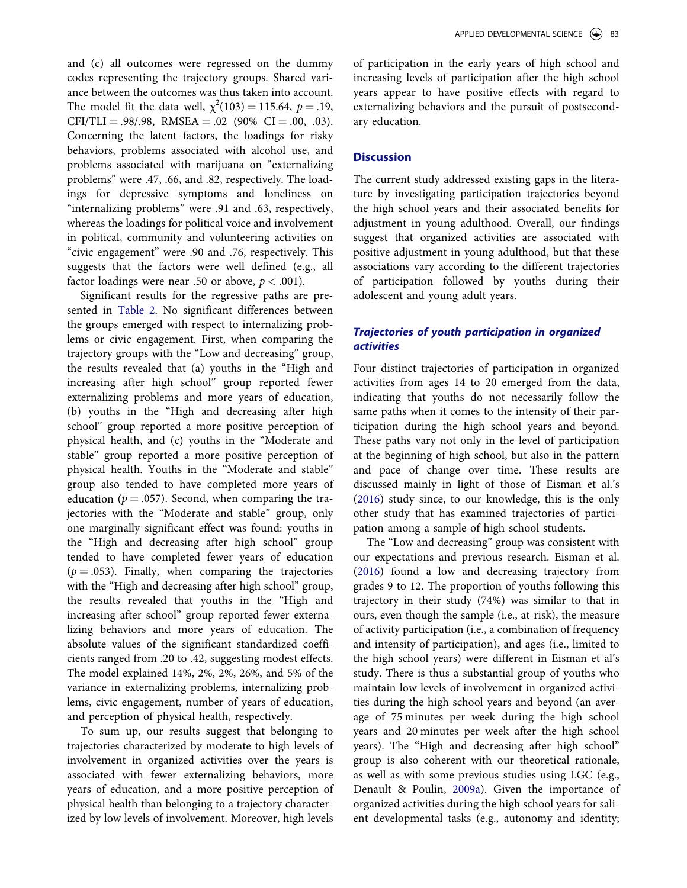and (c) all outcomes were regressed on the dummy codes representing the trajectory groups. Shared variance between the outcomes was thus taken into account. The model fit the data well,  $\chi^2(103) = 115.64$ ,  $p = .19$ ,  $CFI/TLI = .98/.98, RMSEA = .02 (90% CI = .00, .03).$ Concerning the latent factors, the loadings for risky behaviors, problems associated with alcohol use, and problems associated with marijuana on "externalizing problems" were .47, .66, and .82, respectively. The loadings for depressive symptoms and loneliness on "internalizing problems" were .91 and .63, respectively, whereas the loadings for political voice and involvement in political, community and volunteering activities on "civic engagement" were .90 and .76, respectively. This suggests that the factors were well defined (e.g., all factor loadings were near .50 or above,  $p < .001$ ).

Significant results for the regressive paths are presented in [Table 2](#page-9-0). No significant differences between the groups emerged with respect to internalizing problems or civic engagement. First, when comparing the trajectory groups with the "Low and decreasing" group, the results revealed that (a) youths in the "High and increasing after high school" group reported fewer externalizing problems and more years of education, (b) youths in the "High and decreasing after high school" group reported a more positive perception of physical health, and (c) youths in the "Moderate and stable" group reported a more positive perception of physical health. Youths in the "Moderate and stable" group also tended to have completed more years of education ( $p = .057$ ). Second, when comparing the trajectories with the "Moderate and stable" group, only one marginally significant effect was found: youths in the "High and decreasing after high school" group tended to have completed fewer years of education  $(p = .053)$ . Finally, when comparing the trajectories with the "High and decreasing after high school" group, the results revealed that youths in the "High and increasing after school" group reported fewer externalizing behaviors and more years of education. The absolute values of the significant standardized coefficients ranged from .20 to .42, suggesting modest effects. The model explained 14%, 2%, 2%, 26%, and 5% of the variance in externalizing problems, internalizing problems, civic engagement, number of years of education, and perception of physical health, respectively.

To sum up, our results suggest that belonging to trajectories characterized by moderate to high levels of involvement in organized activities over the years is associated with fewer externalizing behaviors, more years of education, and a more positive perception of physical health than belonging to a trajectory characterized by low levels of involvement. Moreover, high levels of participation in the early years of high school and increasing levels of participation after the high school years appear to have positive effects with regard to externalizing behaviors and the pursuit of postsecondary education.

### **Discussion**

The current study addressed existing gaps in the literature by investigating participation trajectories beyond the high school years and their associated benefits for adjustment in young adulthood. Overall, our findings suggest that organized activities are associated with positive adjustment in young adulthood, but that these associations vary according to the different trajectories of participation followed by youths during their adolescent and young adult years.

# *Trajectories of youth participation in organized activities*

Four distinct trajectories of participation in organized activities from ages 14 to 20 emerged from the data, indicating that youths do not necessarily follow the same paths when it comes to the intensity of their participation during the high school years and beyond. These paths vary not only in the level of participation at the beginning of high school, but also in the pattern and pace of change over time. These results are discussed mainly in light of those of Eisman et al.'s ([2016\)](#page-14-0) study since, to our knowledge, this is the only other study that has examined trajectories of participation among a sample of high school students.

The "Low and decreasing" group was consistent with our expectations and previous research. Eisman et al. ([2016\)](#page-14-0) found a low and decreasing trajectory from grades 9 to 12. The proportion of youths following this trajectory in their study (74%) was similar to that in ours, even though the sample (i.e., at-risk), the measure of activity participation (i.e., a combination of frequency and intensity of participation), and ages (i.e., limited to the high school years) were different in Eisman et al's study. There is thus a substantial group of youths who maintain low levels of involvement in organized activities during the high school years and beyond (an average of 75 minutes per week during the high school years and 20 minutes per week after the high school years). The "High and decreasing after high school" group is also coherent with our theoretical rationale, as well as with some previous studies using LGC (e.g., Denault & Poulin, [2009a](#page-14-0)). Given the importance of organized activities during the high school years for salient developmental tasks (e.g., autonomy and identity;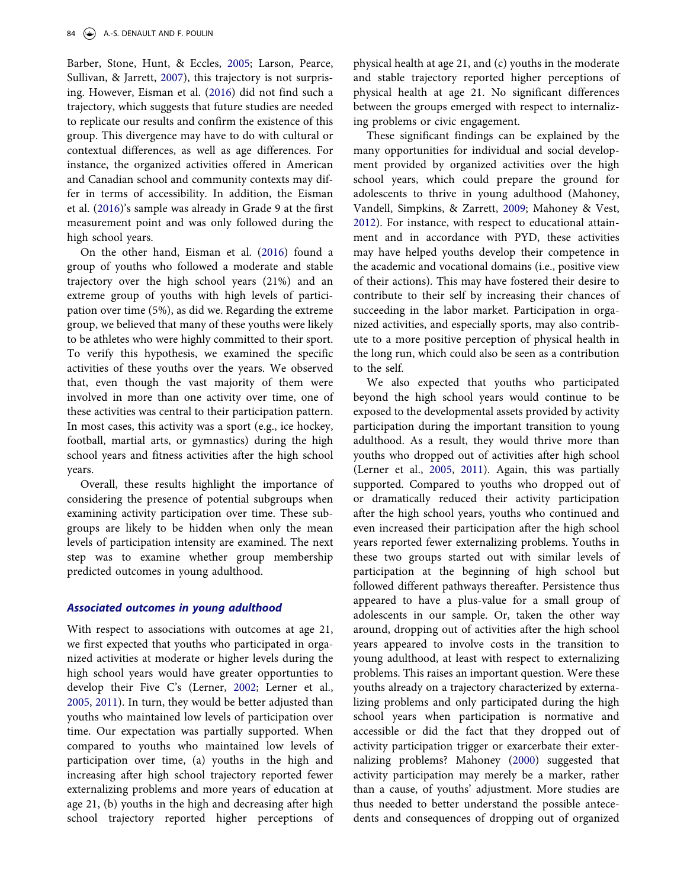Barber, Stone, Hunt, & Eccles, [2005;](#page-14-0) Larson, Pearce, Sullivan, & Jarrett, [2007](#page-14-0)), this trajectory is not surprising. However, Eisman et al. [\(2016](#page-14-0)) did not find such a trajectory, which suggests that future studies are needed to replicate our results and confirm the existence of this group. This divergence may have to do with cultural or contextual differences, as well as age differences. For instance, the organized activities offered in American and Canadian school and community contexts may differ in terms of accessibility. In addition, the Eisman et al. ([2016\)](#page-14-0)'s sample was already in Grade 9 at the first measurement point and was only followed during the high school years.

On the other hand, Eisman et al. [\(2016](#page-14-0)) found a group of youths who followed a moderate and stable trajectory over the high school years (21%) and an extreme group of youths with high levels of participation over time (5%), as did we. Regarding the extreme group, we believed that many of these youths were likely to be athletes who were highly committed to their sport. To verify this hypothesis, we examined the specific activities of these youths over the years. We observed that, even though the vast majority of them were involved in more than one activity over time, one of these activities was central to their participation pattern. In most cases, this activity was a sport (e.g., ice hockey, football, martial arts, or gymnastics) during the high school years and fitness activities after the high school years.

Overall, these results highlight the importance of considering the presence of potential subgroups when examining activity participation over time. These subgroups are likely to be hidden when only the mean levels of participation intensity are examined. The next step was to examine whether group membership predicted outcomes in young adulthood.

# *Associated outcomes in young adulthood*

With respect to associations with outcomes at age 21, we first expected that youths who participated in organized activities at moderate or higher levels during the high school years would have greater opportunties to develop their Five C's (Lerner, [2002](#page-15-0); Lerner et al., [2005,](#page-15-0) [2011](#page-15-0)). In turn, they would be better adjusted than youths who maintained low levels of participation over time. Our expectation was partially supported. When compared to youths who maintained low levels of participation over time, (a) youths in the high and increasing after high school trajectory reported fewer externalizing problems and more years of education at age 21, (b) youths in the high and decreasing after high school trajectory reported higher perceptions of physical health at age 21, and (c) youths in the moderate and stable trajectory reported higher perceptions of physical health at age 21. No significant differences between the groups emerged with respect to internalizing problems or civic engagement.

These significant findings can be explained by the many opportunities for individual and social development provided by organized activities over the high school years, which could prepare the ground for adolescents to thrive in young adulthood (Mahoney, Vandell, Simpkins, & Zarrett, [2009;](#page-15-0) Mahoney & Vest, [2012](#page-15-0)). For instance, with respect to educational attainment and in accordance with PYD, these activities may have helped youths develop their competence in the academic and vocational domains (i.e., positive view of their actions). This may have fostered their desire to contribute to their self by increasing their chances of succeeding in the labor market. Participation in organized activities, and especially sports, may also contribute to a more positive perception of physical health in the long run, which could also be seen as a contribution to the self.

We also expected that youths who participated beyond the high school years would continue to be exposed to the developmental assets provided by activity participation during the important transition to young adulthood. As a result, they would thrive more than youths who dropped out of activities after high school (Lerner et al., [2005,](#page-15-0) [2011\)](#page-15-0). Again, this was partially supported. Compared to youths who dropped out of or dramatically reduced their activity participation after the high school years, youths who continued and even increased their participation after the high school years reported fewer externalizing problems. Youths in these two groups started out with similar levels of participation at the beginning of high school but followed different pathways thereafter. Persistence thus appeared to have a plus-value for a small group of adolescents in our sample. Or, taken the other way around, dropping out of activities after the high school years appeared to involve costs in the transition to young adulthood, at least with respect to externalizing problems. This raises an important question. Were these youths already on a trajectory characterized by externalizing problems and only participated during the high school years when participation is normative and accessible or did the fact that they dropped out of activity participation trigger or exarcerbate their externalizing problems? Mahoney ([2000](#page-15-0)) suggested that activity participation may merely be a marker, rather than a cause, of youths' adjustment. More studies are thus needed to better understand the possible antecedents and consequences of dropping out of organized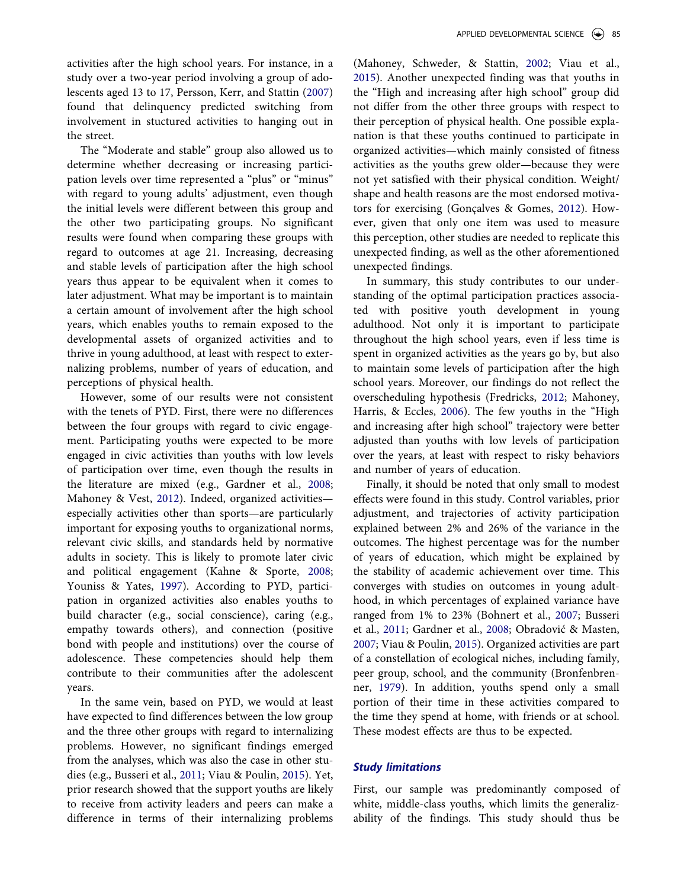activities after the high school years. For instance, in a study over a two-year period involving a group of adolescents aged 13 to 17, Persson, Kerr, and Stattin [\(2007](#page-15-0)) found that delinquency predicted switching from involvement in stuctured activities to hanging out in the street.

The "Moderate and stable" group also allowed us to determine whether decreasing or increasing participation levels over time represented a "plus" or "minus" with regard to young adults' adjustment, even though the initial levels were different between this group and the other two participating groups. No significant results were found when comparing these groups with regard to outcomes at age 21. Increasing, decreasing and stable levels of participation after the high school years thus appear to be equivalent when it comes to later adjustment. What may be important is to maintain a certain amount of involvement after the high school years, which enables youths to remain exposed to the developmental assets of organized activities and to thrive in young adulthood, at least with respect to externalizing problems, number of years of education, and perceptions of physical health.

However, some of our results were not consistent with the tenets of PYD. First, there were no differences between the four groups with regard to civic engagement. Participating youths were expected to be more engaged in civic activities than youths with low levels of participation over time, even though the results in the literature are mixed (e.g., Gardner et al., [2008;](#page-14-0) Mahoney & Vest, [2012\)](#page-15-0). Indeed, organized activities especially activities other than sports—are particularly important for exposing youths to organizational norms, relevant civic skills, and standards held by normative adults in society. This is likely to promote later civic and political engagement (Kahne & Sporte, [2008;](#page-14-0) Youniss & Yates, [1997\)](#page-14-0). According to PYD, participation in organized activities also enables youths to build character (e.g., social conscience), caring (e.g., empathy towards others), and connection (positive bond with people and institutions) over the course of adolescence. These competencies should help them contribute to their communities after the adolescent years.

In the same vein, based on PYD, we would at least have expected to find differences between the low group and the three other groups with regard to internalizing problems. However, no significant findings emerged from the analyses, which was also the case in other studies (e.g., Busseri et al., [2011](#page-14-0); Viau & Poulin, [2015\)](#page-16-0). Yet, prior research showed that the support youths are likely to receive from activity leaders and peers can make a difference in terms of their internalizing problems

(Mahoney, Schweder, & Stattin, [2002;](#page-15-0) Viau et al., [2015](#page-16-0)). Another unexpected finding was that youths in the "High and increasing after high school" group did not differ from the other three groups with respect to their perception of physical health. One possible explanation is that these youths continued to participate in organized activities—which mainly consisted of fitness activities as the youths grew older—because they were not yet satisfied with their physical condition. Weight/ shape and health reasons are the most endorsed motivators for exercising (Gonçalves & Gomes, [2012\)](#page-14-0). However, given that only one item was used to measure this perception, other studies are needed to replicate this unexpected finding, as well as the other aforementioned unexpected findings.

In summary, this study contributes to our understanding of the optimal participation practices associated with positive youth development in young adulthood. Not only it is important to participate throughout the high school years, even if less time is spent in organized activities as the years go by, but also to maintain some levels of participation after the high school years. Moreover, our findings do not reflect the overscheduling hypothesis (Fredricks, [2012](#page-14-0); Mahoney, Harris, & Eccles, [2006](#page-14-0)). The few youths in the "High and increasing after high school" trajectory were better adjusted than youths with low levels of participation over the years, at least with respect to risky behaviors and number of years of education.

Finally, it should be noted that only small to modest effects were found in this study. Control variables, prior adjustment, and trajectories of activity participation explained between 2% and 26% of the variance in the outcomes. The highest percentage was for the number of years of education, which might be explained by the stability of academic achievement over time. This converges with studies on outcomes in young adulthood, in which percentages of explained variance have ranged from 1% to 23% (Bohnert et al., [2007](#page-14-0); Busseri et al., [2011;](#page-14-0) Gardner et al., [2008;](#page-14-0) Obradović & Masten, [2007](#page-15-0); Viau & Poulin, [2015](#page-16-0)). Organized activities are part of a constellation of ecological niches, including family, peer group, school, and the community (Bronfenbrenner, [1979\)](#page-14-0). In addition, youths spend only a small portion of their time in these activities compared to the time they spend at home, with friends or at school. These modest effects are thus to be expected.

# *Study limitations*

First, our sample was predominantly composed of white, middle-class youths, which limits the generalizability of the findings. This study should thus be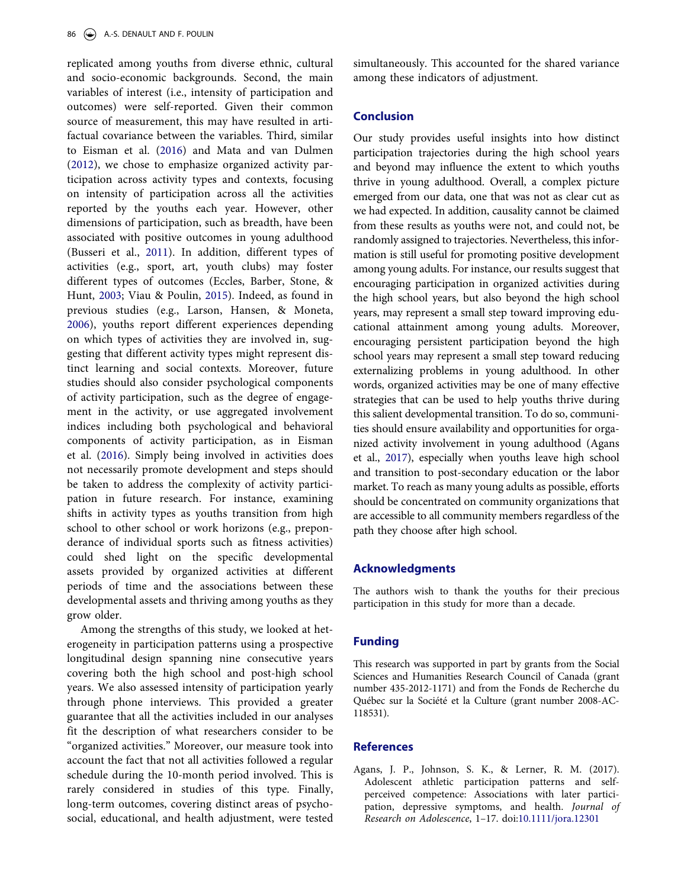<span id="page-13-0"></span>replicated among youths from diverse ethnic, cultural and socio-economic backgrounds. Second, the main variables of interest (i.e., intensity of participation and outcomes) were self-reported. Given their common source of measurement, this may have resulted in artifactual covariance between the variables. Third, similar to Eisman et al. ([2016\)](#page-14-0) and Mata and van Dulmen [\(2012](#page-15-0)), we chose to emphasize organized activity participation across activity types and contexts, focusing on intensity of participation across all the activities reported by the youths each year. However, other dimensions of participation, such as breadth, have been associated with positive outcomes in young adulthood (Busseri et al., [2011](#page-14-0)). In addition, different types of activities (e.g., sport, art, youth clubs) may foster different types of outcomes (Eccles, Barber, Stone, & Hunt, [2003](#page-14-0); Viau & Poulin, [2015](#page-16-0)). Indeed, as found in previous studies (e.g., Larson, Hansen, & Moneta, [2006\)](#page-14-0), youths report different experiences depending on which types of activities they are involved in, suggesting that different activity types might represent distinct learning and social contexts. Moreover, future studies should also consider psychological components of activity participation, such as the degree of engagement in the activity, or use aggregated involvement indices including both psychological and behavioral components of activity participation, as in Eisman et al. ([2016\)](#page-14-0). Simply being involved in activities does not necessarily promote development and steps should be taken to address the complexity of activity participation in future research. For instance, examining shifts in activity types as youths transition from high school to other school or work horizons (e.g., preponderance of individual sports such as fitness activities) could shed light on the specific developmental assets provided by organized activities at different periods of time and the associations between these developmental assets and thriving among youths as they grow older.

Among the strengths of this study, we looked at heterogeneity in participation patterns using a prospective longitudinal design spanning nine consecutive years covering both the high school and post-high school years. We also assessed intensity of participation yearly through phone interviews. This provided a greater guarantee that all the activities included in our analyses fit the description of what researchers consider to be "organized activities." Moreover, our measure took into account the fact that not all activities followed a regular schedule during the 10-month period involved. This is rarely considered in studies of this type. Finally, long-term outcomes, covering distinct areas of psychosocial, educational, and health adjustment, were tested

simultaneously. This accounted for the shared variance among these indicators of adjustment.

# **Conclusion**

Our study provides useful insights into how distinct participation trajectories during the high school years and beyond may influence the extent to which youths thrive in young adulthood. Overall, a complex picture emerged from our data, one that was not as clear cut as we had expected. In addition, causality cannot be claimed from these results as youths were not, and could not, be randomly assigned to trajectories. Nevertheless, this information is still useful for promoting positive development among young adults. For instance, our results suggest that encouraging participation in organized activities during the high school years, but also beyond the high school years, may represent a small step toward improving educational attainment among young adults. Moreover, encouraging persistent participation beyond the high school years may represent a small step toward reducing externalizing problems in young adulthood. In other words, organized activities may be one of many effective strategies that can be used to help youths thrive during this salient developmental transition. To do so, communities should ensure availability and opportunities for organized activity involvement in young adulthood (Agans et al., 2017), especially when youths leave high school and transition to post-secondary education or the labor market. To reach as many young adults as possible, efforts should be concentrated on community organizations that are accessible to all community members regardless of the path they choose after high school.

#### **Acknowledgments**

The authors wish to thank the youths for their precious participation in this study for more than a decade.

# **Funding**

This research was supported in part by grants from the Social Sciences and Humanities Research Council of Canada (grant number 435-2012-1171) and from the Fonds de Recherche du Québec sur la Société et la Culture (grant number 2008-AC-118531).

# **References**

Agans, J. P., Johnson, S. K., & Lerner, R. M. (2017). Adolescent athletic participation patterns and selfperceived competence: Associations with later participation, depressive symptoms, and health. *Journal of Research on Adolescence*, 1–17. doi[:10.1111/jora.12301](http://dx.doi.org/10.1111/jora.12301)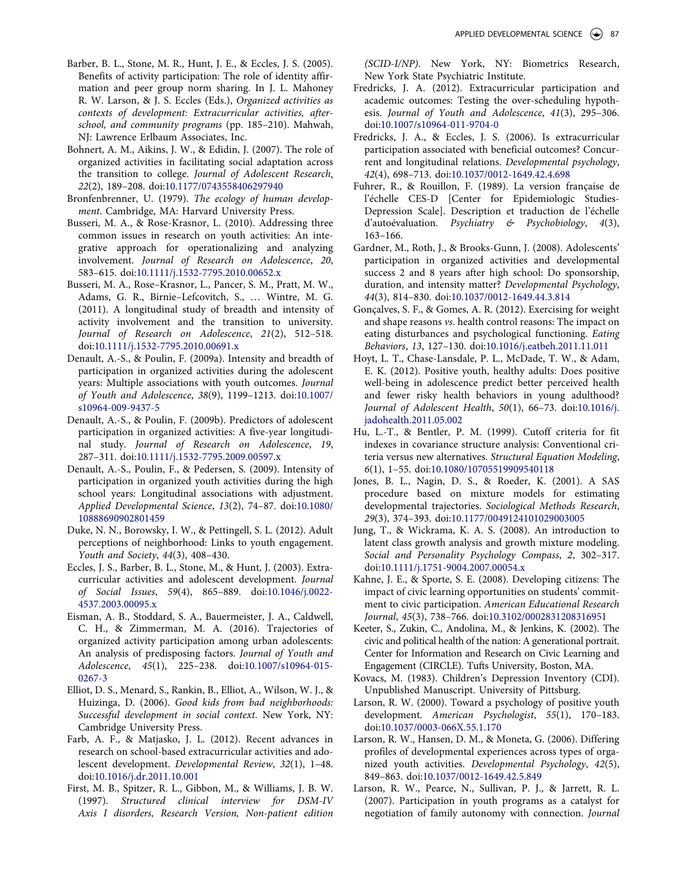- <span id="page-14-0"></span>Barber, B. L., Stone, M. R., Hunt, J. E., & Eccles, J. S. (2005). Benefits of activity participation: The role of identity affirmation and peer group norm sharing. In J. L. Mahoney R. W. Larson, & J. S. Eccles (Eds.), *Organized activities as contexts of development: Extracurricular activities, afterschool, and community programs* (pp. 185–210). Mahwah, NJ: Lawrence Erlbaum Associates, Inc.
- Bohnert, A. M., Aikins, J. W., & Edidin, J. (2007). The role of organized activities in facilitating social adaptation across the transition to college. *Journal of Adolescent Research*, *22*(2), 189–208. doi[:10.1177/0743558406297940](http://dx.doi.org/10.1177/0743558406297940)
- Bronfenbrenner, U. (1979). *The ecology of human development*. Cambridge, MA: Harvard University Press.
- Busseri, M. A., & Rose-Krasnor, L. (2010). Addressing three common issues in research on youth activities: An integrative approach for operationalizing and analyzing involvement. *Journal of Research on Adolescence*, *20*, 583–615. doi:[10.1111/j.1532-7795.2010.00652.x](http://dx.doi.org/10.1111/j.1532-7795.2010.00652.x)
- Busseri, M. A., Rose–Krasnor, L., Pancer, S. M., Pratt, M. W., Adams, G. R., Birnie–Lefcovitch, S., … Wintre, M. G. (2011). A longitudinal study of breadth and intensity of activity involvement and the transition to university. *Journal of Research on Adolescence*, *21*(2), 512–518. doi[:10.1111/j.1532-7795.2010.00691.x](http://dx.doi.org/10.1111/j.1532-7795.2010.00691.x)
- Denault, A.-S., & Poulin, F. (2009a). Intensity and breadth of participation in organized activities during the adolescent years: Multiple associations with youth outcomes. *Journal of Youth and Adolescence*, *38*(9), 1199–1213. doi[:10.1007/](http://dx.doi.org/10.1007/s10964-009-9437-5) [s10964-009-9437-5](http://dx.doi.org/10.1007/s10964-009-9437-5)
- Denault, A.-S., & Poulin, F. (2009b). Predictors of adolescent participation in organized activities: A five-year longitudinal study. *Journal of Research on Adolescence*, *19*, 287–311. doi:[10.1111/j.1532-7795.2009.00597.x](http://dx.doi.org/10.1111/j.1532-7795.2009.00597.x)
- Denault, A.-S., Poulin, F., & Pedersen, S. (2009). Intensity of participation in organized youth activities during the high school years: Longitudinal associations with adjustment. *Applied Developmental Science*, *13*(2), 74–87. doi[:10.1080/](http://dx.doi.org/10.1080/10888690902801459) [10888690902801459](http://dx.doi.org/10.1080/10888690902801459)
- Duke, N. N., Borowsky, I. W., & Pettingell, S. L. (2012). Adult perceptions of neighborhood: Links to youth engagement. *Youth and Society*, *44*(3), 408–430.
- Eccles, J. S., Barber, B. L., Stone, M., & Hunt, J. (2003). Extracurricular activities and adolescent development. *Journal of Social Issues*, *59*(4), 865–889. doi[:10.1046/j.0022-](http://dx.doi.org/10.1046/j.0022-4537.2003.00095.x) [4537.2003.00095.x](http://dx.doi.org/10.1046/j.0022-4537.2003.00095.x)
- Eisman, A. B., Stoddard, S. A., Bauermeister, J. A., Caldwell, C. H., & Zimmerman, M. A. (2016). Trajectories of organized activity participation among urban adolescents: An analysis of predisposing factors. *Journal of Youth and Adolescence*, *45*(1), 225–238. doi:[10.1007/s10964-015-](http://dx.doi.org/10.1007/s10964-015-0267-3) [0267-3](http://dx.doi.org/10.1007/s10964-015-0267-3)
- Elliot, D. S., Menard, S., Rankin, B., Elliot, A., Wilson, W. J., & Huizinga, D. (2006). *Good kids from bad neighborhoods: Successful development in social context*. New York, NY: Cambridge University Press.
- Farb, A. F., & Matjasko, J. L. (2012). Recent advances in research on school-based extracurricular activities and adolescent development. *Developmental Review*, *32*(1), 1–48. doi[:10.1016/j.dr.2011.10.001](http://dx.doi.org/10.1016/j.dr.2011.10.001)
- First, M. B., Spitzer, R. L., Gibbon, M., & Williams, J. B. W. (1997). *Structured clinical interview for DSM-IV Axis I disorders, Research Version, Non-patient edition*

*(SCID-I/NP)*. New York, NY: Biometrics Research, New York State Psychiatric Institute.

- Fredricks, J. A. (2012). Extracurricular participation and academic outcomes: Testing the over-scheduling hypothesis. *Journal of Youth and Adolescence*, *41*(3), 295–306. doi[:10.1007/s10964-011-9704-0](http://dx.doi.org/10.1007/s10964-011-9704-0)
- Fredricks, J. A., & Eccles, J. S. (2006). Is extracurricular participation associated with beneficial outcomes? Concurrent and longitudinal relations. *Developmental psychology*, *42*(4), 698–713. doi[:10.1037/0012-1649.42.4.698](http://dx.doi.org/10.1037/0012-1649.42.4.698)
- Fuhrer, R., & Rouillon, F. (1989). La version française de l'échelle CES-D [Center for Epidemiologic Studies-Depression Scale]. Description et traduction de l'échelle d'autoévaluation. *Psychiatry & Psychobiology*, *4*(3), 163–166.
- Gardner, M., Roth, J., & Brooks-Gunn, J. (2008). Adolescents' participation in organized activities and developmental success 2 and 8 years after high school: Do sponsorship, duration, and intensity matter? *Developmental Psychology*, *44*(3), 814–830. doi[:10.1037/0012-1649.44.3.814](http://dx.doi.org/10.1037/0012-1649.44.3.814)
- Gonçalves, S. F., & Gomes, A. R. (2012). Exercising for weight and shape reasons *vs*. health control reasons: The impact on eating disturbances and psychological functioning. *Eating Behaviors*, *13*, 127–130. doi[:10.1016/j.eatbeh.2011.11.011](http://dx.doi.org/10.1016/j.eatbeh.2011.11.011)
- Hoyt, L. T., Chase-Lansdale, P. L., McDade, T. W., & Adam, E. K. (2012). Positive youth, healthy adults: Does positive well-being in adolescence predict better perceived health and fewer risky health behaviors in young adulthood? *Journal of Adolescent Health*, *50*(1), 66–73. doi[:10.1016/j.](http://dx.doi.org/10.1016/j.jadohealth.2011.05.002) [jadohealth.2011.05.002](http://dx.doi.org/10.1016/j.jadohealth.2011.05.002)
- Hu, L.-T., & Bentler, P. M. (1999). Cutoff criteria for fit indexes in covariance structure analysis: Conventional criteria versus new alternatives. *Structural Equation Modeling*, *6*(1), 1–55. doi[:10.1080/10705519909540118](http://dx.doi.org/10.1080/10705519909540118)
- Jones, B. L., Nagin, D. S., & Roeder, K. (2001). A SAS procedure based on mixture models for estimating developmental trajectories. *Sociological Methods Research*, *29*(3), 374–393. doi[:10.1177/0049124101029003005](http://dx.doi.org/10.1177/0049124101029003005)
- Jung, T., & Wickrama, K. A. S. (2008). An introduction to latent class growth analysis and growth mixture modeling. *Social and Personality Psychology Compass*, *2*, 302–317. doi[:10.1111/j.1751-9004.2007.00054.x](http://dx.doi.org/10.1111/j.1751-9004.2007.00054.x)
- Kahne, J. E., & Sporte, S. E. (2008). Developing citizens: The impact of civic learning opportunities on students' commitment to civic participation. *American Educational Research Journal*, *45*(3), 738–766. doi:[10.3102/0002831208316951](http://dx.doi.org/10.3102/0002831208316951)
- Keeter, S., Zukin, C., Andolina, M., & Jenkins, K. (2002). The civic and political health of the nation: A generational portrait. Center for Information and Research on Civic Learning and Engagement (CIRCLE). Tufts University, Boston, MA.
- Kovacs, M. (1983). Children's Depression Inventory (CDI). Unpublished Manuscript. University of Pittsburg.
- Larson, R. W. (2000). Toward a psychology of positive youth development. *American Psychologist*, *55*(1), 170–183. doi[:10.1037/0003-066X.55.1.170](http://dx.doi.org/10.1037/0003-066X.55.1.170)
- Larson, R. W., Hansen, D. M., & Moneta, G. (2006). Differing profiles of developmental experiences across types of organized youth activities. *Developmental Psychology*, *42*(5), 849–863. doi:[10.1037/0012-1649.42.5.849](http://dx.doi.org/10.1037/0012-1649.42.5.849)
- Larson, R. W., Pearce, N., Sullivan, P. J., & Jarrett, R. L. (2007). Participation in youth programs as a catalyst for negotiation of family autonomy with connection. *Journal*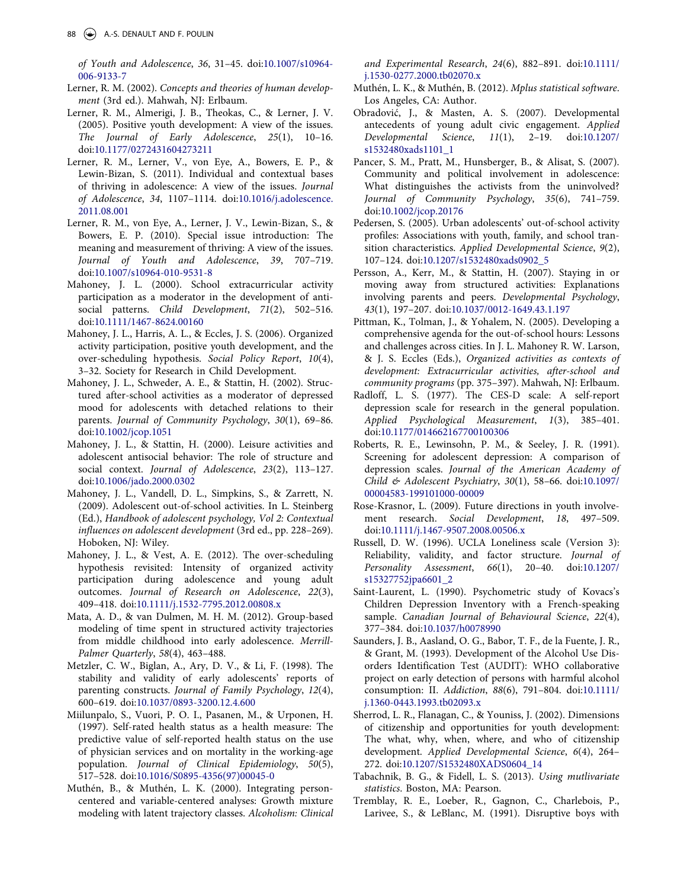<span id="page-15-0"></span>*of Youth and Adolescence*, *36*, 31–45. doi:[10.1007/s10964-](http://dx.doi.org/10.1007/s10964-006-9133-7) [006-9133-7](http://dx.doi.org/10.1007/s10964-006-9133-7) 

- Lerner, R. M. (2002). *Concepts and theories of human development* (3rd ed.). Mahwah, NJ: Erlbaum.
- Lerner, R. M., Almerigi, J. B., Theokas, C., & Lerner, J. V. (2005). Positive youth development: A view of the issues. *The Journal of Early Adolescence*, *25*(1), 10–16. doi[:10.1177/0272431604273211](http://dx.doi.org/10.1177/0272431604273211)
- Lerner, R. M., Lerner, V., von Eye, A., Bowers, E. P., & Lewin-Bizan, S. (2011). Individual and contextual bases of thriving in adolescence: A view of the issues. *Journal of Adolescence*, *34*, 1107–1114. doi:[10.1016/j.adolescence.](http://dx.doi.org/10.1016/j.adolescence.2011.08.001) [2011.08.001](http://dx.doi.org/10.1016/j.adolescence.2011.08.001)
- Lerner, R. M., von Eye, A., Lerner, J. V., Lewin-Bizan, S., & Bowers, E. P. (2010). Special issue introduction: The meaning and measurement of thriving: A view of the issues. *Journal of Youth and Adolescence*, *39*, 707–719. doi[:10.1007/s10964-010-9531-8](http://dx.doi.org/10.1007/s10964-010-9531-8)
- Mahoney, J. L. (2000). School extracurricular activity participation as a moderator in the development of antisocial patterns. *Child Development*, *71*(2), 502–516. doi[:10.1111/1467-8624.00160](http://dx.doi.org/10.1111/1467-8624.00160)
- Mahoney, J. L., Harris, A. L., & Eccles, J. S. (2006). Organized activity participation, positive youth development, and the over-scheduling hypothesis. *Social Policy Report*, *10*(4), 3–32. Society for Research in Child Development.
- Mahoney, J. L., Schweder, A. E., & Stattin, H. (2002). Structured after-school activities as a moderator of depressed mood for adolescents with detached relations to their parents. *Journal of Community Psychology*, *30*(1), 69–86. doi[:10.1002/jcop.1051](http://dx.doi.org/10.1002/jcop.1051)
- Mahoney, J. L., & Stattin, H. (2000). Leisure activities and adolescent antisocial behavior: The role of structure and social context. *Journal of Adolescence*, *23*(2), 113–127. doi[:10.1006/jado.2000.0302](http://dx.doi.org/10.1006/jado.2000.0302)
- Mahoney, J. L., Vandell, D. L., Simpkins, S., & Zarrett, N. (2009). Adolescent out-of-school activities. In L. Steinberg (Ed.), *Handbook of adolescent psychology, Vol 2: Contextual influences on adolescent development* (3rd ed., pp. 228–269). Hoboken, NJ: Wiley.
- Mahoney, J. L., & Vest, A. E. (2012). The over‐scheduling hypothesis revisited: Intensity of organized activity participation during adolescence and young adult outcomes. *Journal of Research on Adolescence*, *22*(3), 409–418. doi:[10.1111/j.1532-7795.2012.00808.x](http://dx.doi.org/10.1111/j.1532-7795.2012.00808.x)
- Mata, A. D., & van Dulmen, M. H. M. (2012). Group-based modeling of time spent in structured activity trajectories from middle childhood into early adolescence. *Merrill-Palmer Quarterly*, *58*(4), 463–488.
- Metzler, C. W., Biglan, A., Ary, D. V., & Li, F. (1998). The stability and validity of early adolescents' reports of parenting constructs. *Journal of Family Psychology*, *12*(4), 600–619. doi:[10.1037/0893-3200.12.4.600](http://dx.doi.org/10.1037/0893-3200.12.4.600)
- Miilunpalo, S., Vuori, P. O. I., Pasanen, M., & Urponen, H. (1997). Self-rated health status as a health measure: The predictive value of self-reported health status on the use of physician services and on mortality in the working-age population. *Journal of Clinical Epidemiology*, *50*(5), 517–528. doi:[10.1016/S0895-4356\(97\)00045-0](http://dx.doi.org/10.1016/S0895-4356(97)00045-0)
- Muthén, B., & Muthén, L. K. (2000). Integrating personcentered and variable-centered analyses: Growth mixture modeling with latent trajectory classes. *Alcoholism: Clinical*

*and Experimental Research*, *24*(6), 882–891. doi:[10.1111/](http://dx.doi.org/10.1111/j.1530-0277.2000.tb02070.x) [j.1530-0277.2000.tb02070.x](http://dx.doi.org/10.1111/j.1530-0277.2000.tb02070.x) 

- Muthén, L. K., & Muthén, B. (2012). *Mplus statistical software*. Los Angeles, CA: Author.
- Obradović, J., & Masten, A. S. (2007). Developmental antecedents of young adult civic engagement. *Applied Developmental Science*, *11*(1), 2–19. doi:[10.1207/](http://dx.doi.org/10.1207/s1532480xads1101_1) [s1532480xads1101\\_1](http://dx.doi.org/10.1207/s1532480xads1101_1)
- Pancer, S. M., Pratt, M., Hunsberger, B., & Alisat, S. (2007). Community and political involvement in adolescence: What distinguishes the activists from the uninvolved? *Journal of Community Psychology*, *35*(6), 741–759. doi[:10.1002/jcop.20176](http://dx.doi.org/10.1002/jcop.20176)
- Pedersen, S. (2005). Urban adolescents' out-of-school activity profiles: Associations with youth, family, and school transition characteristics. *Applied Developmental Science*, *9*(2), 107–124. doi:[10.1207/s1532480xads0902\\_5](http://dx.doi.org/10.1207/s1532480xads0902_5)
- Persson, A., Kerr, M., & Stattin, H. (2007). Staying in or moving away from structured activities: Explanations involving parents and peers. *Developmental Psychology*, *43*(1), 197–207. doi[:10.1037/0012-1649.43.1.197](http://dx.doi.org/10.1037/0012-1649.43.1.197)
- Pittman, K., Tolman, J., & Yohalem, N. (2005). Developing a comprehensive agenda for the out-of-school hours: Lessons and challenges across cities. In J. L. Mahoney R. W. Larson, & J. S. Eccles (Eds.), *Organized activities as contexts of development: Extracurricular activities, after-school and community programs* (pp. 375–397). Mahwah, NJ: Erlbaum.
- Radloff, L. S. (1977). The CES-D scale: A self-report depression scale for research in the general population. *Applied Psychological Measurement*, *1*(3), 385–401. doi[:10.1177/014662167700100306](http://dx.doi.org/10.1177/014662167700100306)
- Roberts, R. E., Lewinsohn, P. M., & Seeley, J. R. (1991). Screening for adolescent depression: A comparison of depression scales. *Journal of the American Academy of Child & Adolescent Psychiatry*, *30*(1), 58–66. doi:[10.1097/](http://dx.doi.org/10.1097/00004583-199101000-00009) [00004583-199101000-00009](http://dx.doi.org/10.1097/00004583-199101000-00009)
- Rose-Krasnor, L. (2009). Future directions in youth involvement research. *Social Development*, *18*, 497–509. doi[:10.1111/j.1467-9507.2008.00506.x](http://dx.doi.org/10.1111/j.1467-9507.2008.00506.x)
- Russell, D. W. (1996). UCLA Loneliness scale (Version 3): Reliability, validity, and factor structure. *Journal of Personality Assessment*, *66*(1), 20–40. doi:[10.1207/](http://dx.doi.org/10.1207/s15327752jpa6601_2) [s15327752jpa6601\\_2](http://dx.doi.org/10.1207/s15327752jpa6601_2)
- Saint-Laurent, L. (1990). Psychometric study of Kovacs's Children Depression Inventory with a French-speaking sample. *Canadian Journal of Behavioural Science*, *22*(4), 377–384. doi:[10.1037/h0078990](http://dx.doi.org/10.1037/h0078990)
- Saunders, J. B., Aasland, O. G., Babor, T. F., de la Fuente, J. R., & Grant, M. (1993). Development of the Alcohol Use Disorders Identification Test (AUDIT): WHO collaborative project on early detection of persons with harmful alcohol consumption: II. *Addiction*, *88*(6), 791–804. doi:[10.1111/](http://dx.doi.org/10.1111/j.1360-0443.1993.tb02093.x) [j.1360-0443.1993.tb02093.x](http://dx.doi.org/10.1111/j.1360-0443.1993.tb02093.x)
- Sherrod, L. R., Flanagan, C., & Youniss, J. (2002). Dimensions of citizenship and opportunities for youth development: The what, why, when, where, and who of citizenship development. *Applied Developmental Science*, *6*(4), 264– 272. doi[:10.1207/S1532480XADS0604\\_14](http://dx.doi.org/10.1207/S1532480XADS0604_14)
- Tabachnik, B. G., & Fidell, L. S. (2013). *Using mutlivariate statistics*. Boston, MA: Pearson.
- Tremblay, R. E., Loeber, R., Gagnon, C., Charlebois, P., Larivee, S., & LeBlanc, M. (1991). Disruptive boys with